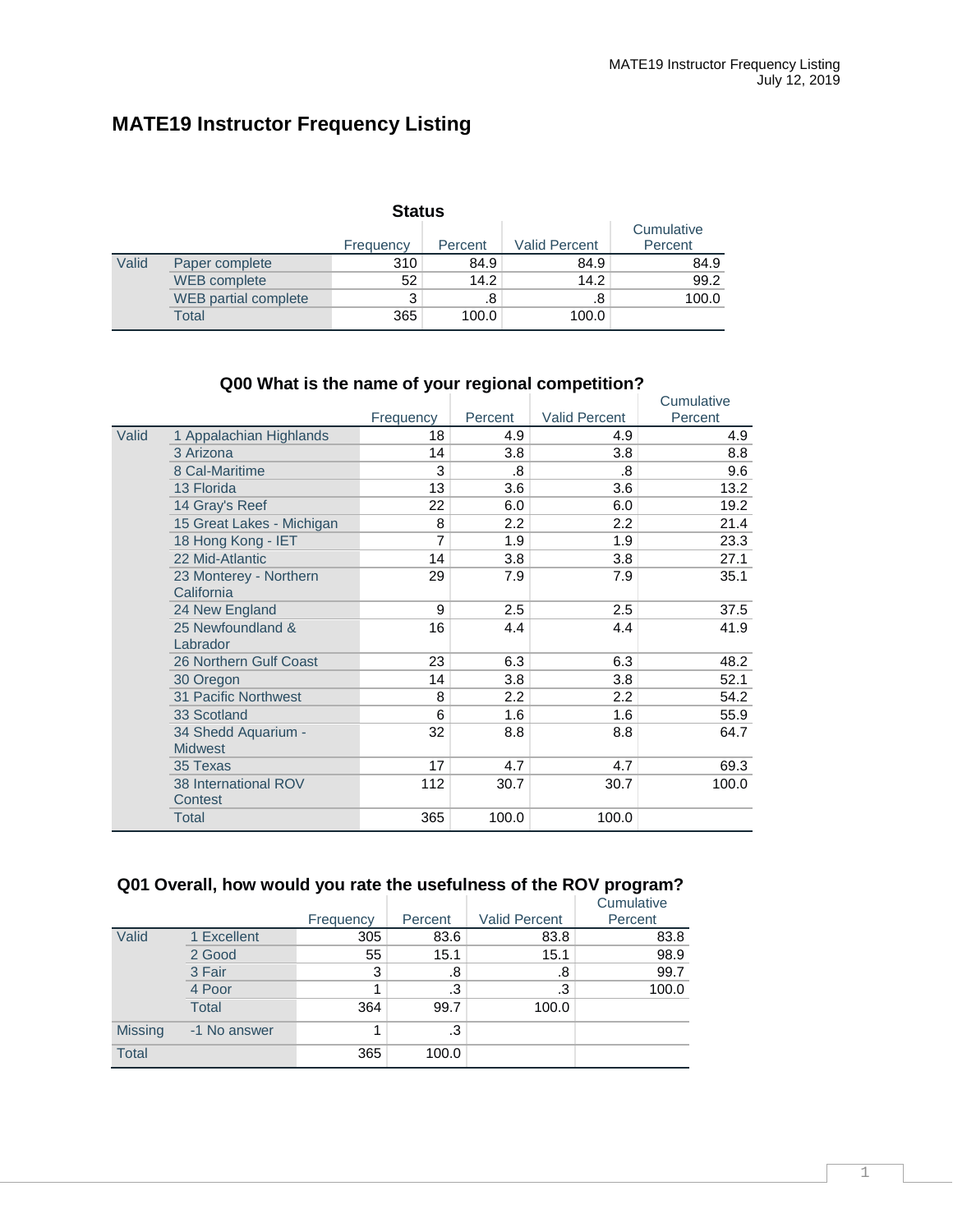## **MATE19 Instructor Frequency Listing**

| <b>Status</b> |                      |           |         |                      |                       |  |  |  |  |
|---------------|----------------------|-----------|---------|----------------------|-----------------------|--|--|--|--|
|               |                      | Frequency | Percent | <b>Valid Percent</b> | Cumulative<br>Percent |  |  |  |  |
| Valid         | Paper complete       | 310       | 84.9    | 84.9                 | 84.9                  |  |  |  |  |
|               | <b>WEB</b> complete  | 52        | 14.2    | 14.2                 | 99.2                  |  |  |  |  |
|               | WEB partial complete | 3         | .8      | .8                   | 100.0                 |  |  |  |  |
|               | Total                | 365       | 100.0   | 100.0                |                       |  |  |  |  |

## **Q00 What is the name of your regional competition?**

|       |                           |           |         |                      | Cumulative |
|-------|---------------------------|-----------|---------|----------------------|------------|
|       |                           | Frequency | Percent | <b>Valid Percent</b> | Percent    |
| Valid | 1 Appalachian Highlands   | 18        | 4.9     | 4.9                  | 4.9        |
|       | 3 Arizona                 | 14        | 3.8     | 3.8                  | 8.8        |
|       | 8 Cal-Maritime            | 3         | .8      | .8                   | 9.6        |
|       | 13 Florida                | 13        | 3.6     | 3.6                  | 13.2       |
|       | 14 Gray's Reef            | 22        | 6.0     | 6.0                  | 19.2       |
|       | 15 Great Lakes - Michigan | 8         | 2.2     | 2.2                  | 21.4       |
|       | 18 Hong Kong - IET        | 7         | 1.9     | 1.9                  | 23.3       |
|       | 22 Mid-Atlantic           | 14        | 3.8     | 3.8                  | 27.1       |
|       | 23 Monterey - Northern    | 29        | 7.9     | 7.9                  | 35.1       |
|       | California                |           |         |                      |            |
|       | 24 New England            | 9         | 2.5     | 2.5                  | 37.5       |
|       | 25 Newfoundland &         | 16        | 4.4     | 4.4                  | 41.9       |
|       | Labrador                  |           |         |                      |            |
|       | 26 Northern Gulf Coast    | 23        | 6.3     | 6.3                  | 48.2       |
|       | 30 Oregon                 | 14        | 3.8     | 3.8                  | 52.1       |
|       | 31 Pacific Northwest      | 8         | 2.2     | 2.2                  | 54.2       |
|       | 33 Scotland               | 6         | 1.6     | 1.6                  | 55.9       |
|       | 34 Shedd Aquarium -       | 32        | 8.8     | 8.8                  | 64.7       |
|       | <b>Midwest</b>            |           |         |                      |            |
|       | 35 Texas                  | 17        | 4.7     | 4.7                  | 69.3       |
|       | 38 International ROV      | 112       | 30.7    | 30.7                 | 100.0      |
|       | Contest                   |           |         |                      |            |
|       | Total                     | 365       | 100.0   | 100.0                |            |

## **Q01 Overall, how would you rate the usefulness of the ROV program?**

|                |              |           |         |                      | Cumulative |
|----------------|--------------|-----------|---------|----------------------|------------|
|                |              | Frequency | Percent | <b>Valid Percent</b> | Percent    |
| Valid          | 1 Excellent  | 305       | 83.6    | 83.8                 | 83.8       |
|                | 2 Good       | 55        | 15.1    | 15.1                 | 98.9       |
|                | 3 Fair       | 3         | .8      | .8                   | 99.7       |
|                | 4 Poor       |           | .3      | .3                   | 100.0      |
|                | <b>Total</b> | 364       | 99.7    | 100.0                |            |
| <b>Missing</b> | -1 No answer | 1         | .3      |                      |            |
| <b>Total</b>   |              | 365       | 100.0   |                      |            |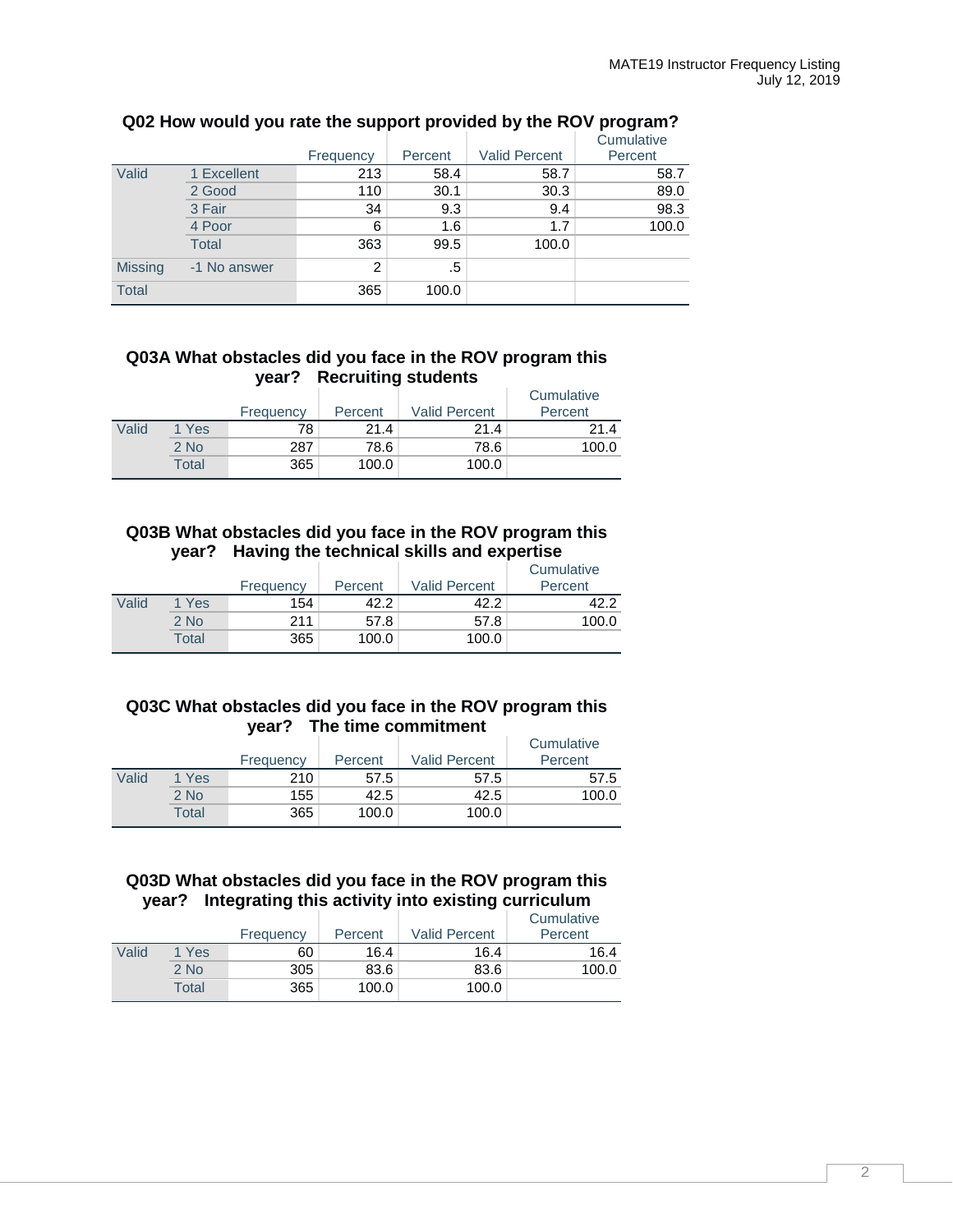|                |              |           |         |                      | Cumulative |
|----------------|--------------|-----------|---------|----------------------|------------|
|                |              | Frequency | Percent | <b>Valid Percent</b> | Percent    |
| Valid          | 1 Excellent  | 213       | 58.4    | 58.7                 | 58.7       |
|                | 2 Good       | 110       | 30.1    | 30.3                 | 89.0       |
|                | 3 Fair       | 34        | 9.3     | 9.4                  | 98.3       |
|                | 4 Poor       | 6         | 1.6     | 1.7                  | 100.0      |
|                | <b>Total</b> | 363       | 99.5    | 100.0                |            |
| <b>Missing</b> | -1 No answer | 2         | .5      |                      |            |
| <b>Total</b>   |              | 365       | 100.0   |                      |            |

## **Q02 How would you rate the support provided by the ROV program?**

#### **Q03A What obstacles did you face in the ROV program this year? Recruiting students**

|       |        | Frequency | Percent | <b>Valid Percent</b> | Cumulative<br>Percent |
|-------|--------|-----------|---------|----------------------|-----------------------|
| Valid | 1 Yes  | 78        | 21.4    | 21.4                 | 21.4                  |
|       | $2$ No | 287       | 78.6    | 78.6                 | 100.0                 |
|       | Total  | 365       | 100.0   | 100.0                |                       |

### **Q03B What obstacles did you face in the ROV program this year? Having the technical skills and expertise**

|       |        | Frequency | Percent | <b>Valid Percent</b> | Cumulative<br>Percent |
|-------|--------|-----------|---------|----------------------|-----------------------|
| Valid | 1 Yes  | 154       | 42.2    | 42.2                 | 42 2                  |
|       | $2$ No | 211       | 57.8    | 57.8                 | 100.0                 |
|       | Total  | 365       | 100.0   | 100.0                |                       |

#### **Q03C What obstacles did you face in the ROV program this year? The time commitment**

|       |       | Frequency | Percent | <b>Valid Percent</b> | Cumulative<br>Percent |
|-------|-------|-----------|---------|----------------------|-----------------------|
| Valid | 1 Yes | 210       | 57.5    | 57.5                 | 57.5                  |
|       | 2 No  | 155       | 42.5    | 42.5                 | 100.0                 |
|       | Total | 365       | 100.0   | 100.0                |                       |

## **Q03D What obstacles did you face in the ROV program this year? Integrating this activity into existing curriculum**

|       |        | Frequency | Percent | <b>Valid Percent</b> | Cumulative<br>Percent |
|-------|--------|-----------|---------|----------------------|-----------------------|
| Valid | 1 Yes  | 60        | 16.4    | 16.4                 | 16.4                  |
|       | $2$ No | 305       | 83.6    | 83.6                 | 100.0                 |
|       | Total  | 365       | 100.0   | 100.0                |                       |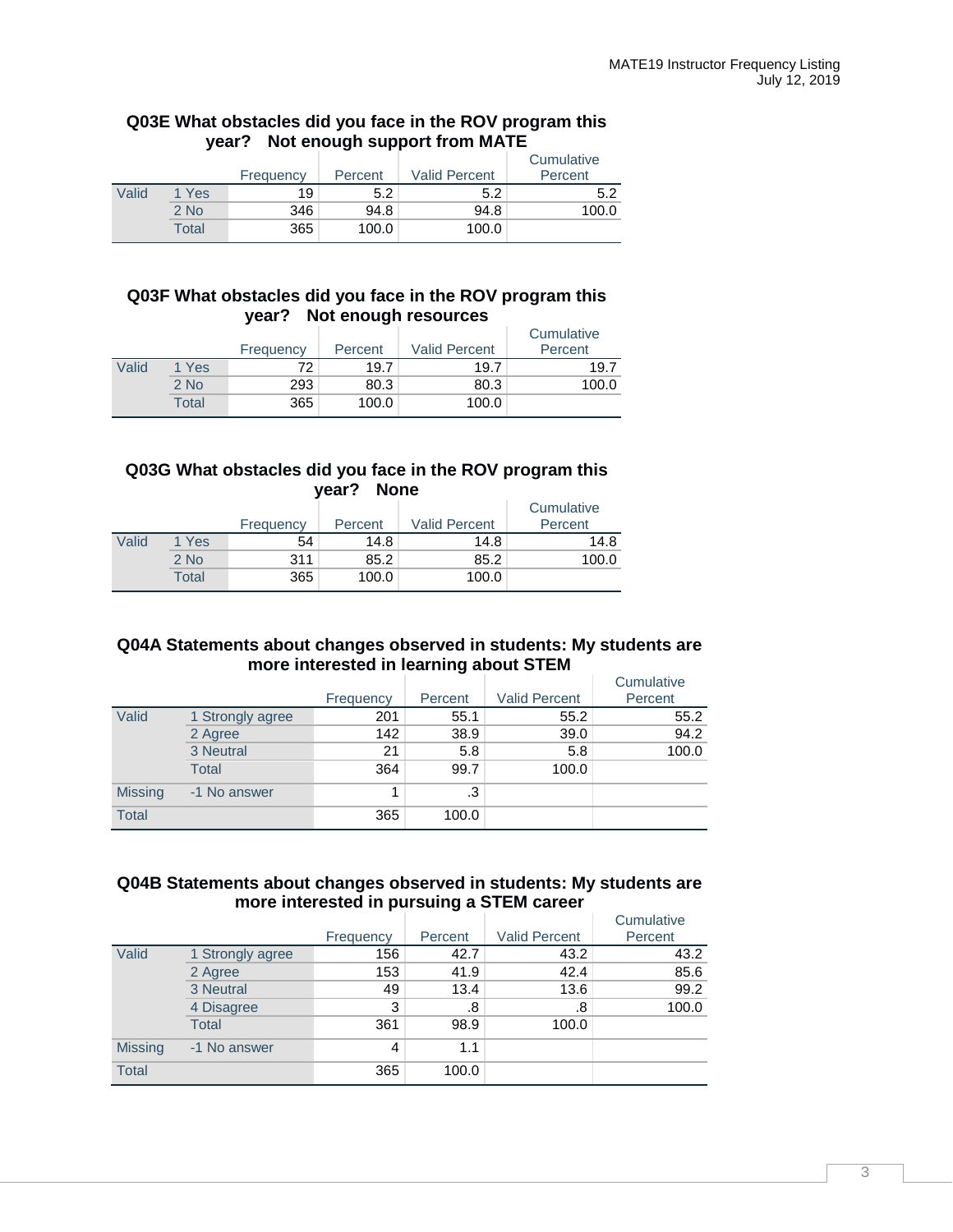#### **Q03E What obstacles did you face in the ROV program this year? Not enough support from MATE**

|       |        | Frequency | Percent | <b>Valid Percent</b> | Cumulative<br>Percent |
|-------|--------|-----------|---------|----------------------|-----------------------|
| Valid | 1 Yes  | 19        | 5.2     | 5.2                  | 5.2                   |
|       | $2$ No | 346       | 94.8    | 94.8                 | 100.0                 |
|       | Total  | 365       | 100.0   | 100.0                |                       |

#### **Q03F What obstacles did you face in the ROV program this year? Not enough resources**

|       |        | Frequency | . .<br>Percent | <b>Valid Percent</b> | Cumulative<br>Percent |
|-------|--------|-----------|----------------|----------------------|-----------------------|
| Valid | 1 Yes  | 72        | 19.7           | 19.7                 | 19.7                  |
|       | $2$ No | 293       | 80.3           | 80.3                 | 100.0                 |
|       | Total  | 365       | 100.0          | 100.0                |                       |

## **Q03G What obstacles did you face in the ROV program this year? None**

|       |        | Frequency | Percent | <b>Valid Percent</b> | Cumulative<br>Percent |
|-------|--------|-----------|---------|----------------------|-----------------------|
| Valid | 1 Yes  | 54        | 14.8    | 14.8                 | 14.8                  |
|       | $2$ No | 311       | 85.2    | 85.2                 | 100.0                 |
|       | Total  | 365       | 100.0   | 100.0                |                       |

## **Q04A Statements about changes observed in students: My students are more interested in learning about STEM**

|                |                  |           |         |                      | Cumulative |
|----------------|------------------|-----------|---------|----------------------|------------|
|                |                  | Frequency | Percent | <b>Valid Percent</b> | Percent    |
| Valid          | 1 Strongly agree | 201       | 55.1    | 55.2                 | 55.2       |
|                | 2 Agree          | 142       | 38.9    | 39.0                 | 94.2       |
|                | 3 Neutral        | 21        | 5.8     | 5.8                  | 100.0      |
|                | Total            | 364       | 99.7    | 100.0                |            |
| <b>Missing</b> | -1 No answer     |           | .3      |                      |            |
| <b>Total</b>   |                  | 365       | 100.0   |                      |            |

#### **Q04B Statements about changes observed in students: My students are more interested in pursuing a STEM career**

|                |                  |           |         |                      | Cumulative |
|----------------|------------------|-----------|---------|----------------------|------------|
|                |                  | Frequency | Percent | <b>Valid Percent</b> | Percent    |
| Valid          | 1 Strongly agree | 156       | 42.7    | 43.2                 | 43.2       |
|                | 2 Agree          | 153       | 41.9    | 42.4                 | 85.6       |
|                | 3 Neutral        | 49        | 13.4    | 13.6                 | 99.2       |
|                | 4 Disagree       | 3         | .8      | .8                   | 100.0      |
|                | <b>Total</b>     | 361       | 98.9    | 100.0                |            |
| <b>Missing</b> | -1 No answer     | 4         | 1.1     |                      |            |
| <b>Total</b>   |                  | 365       | 100.0   |                      |            |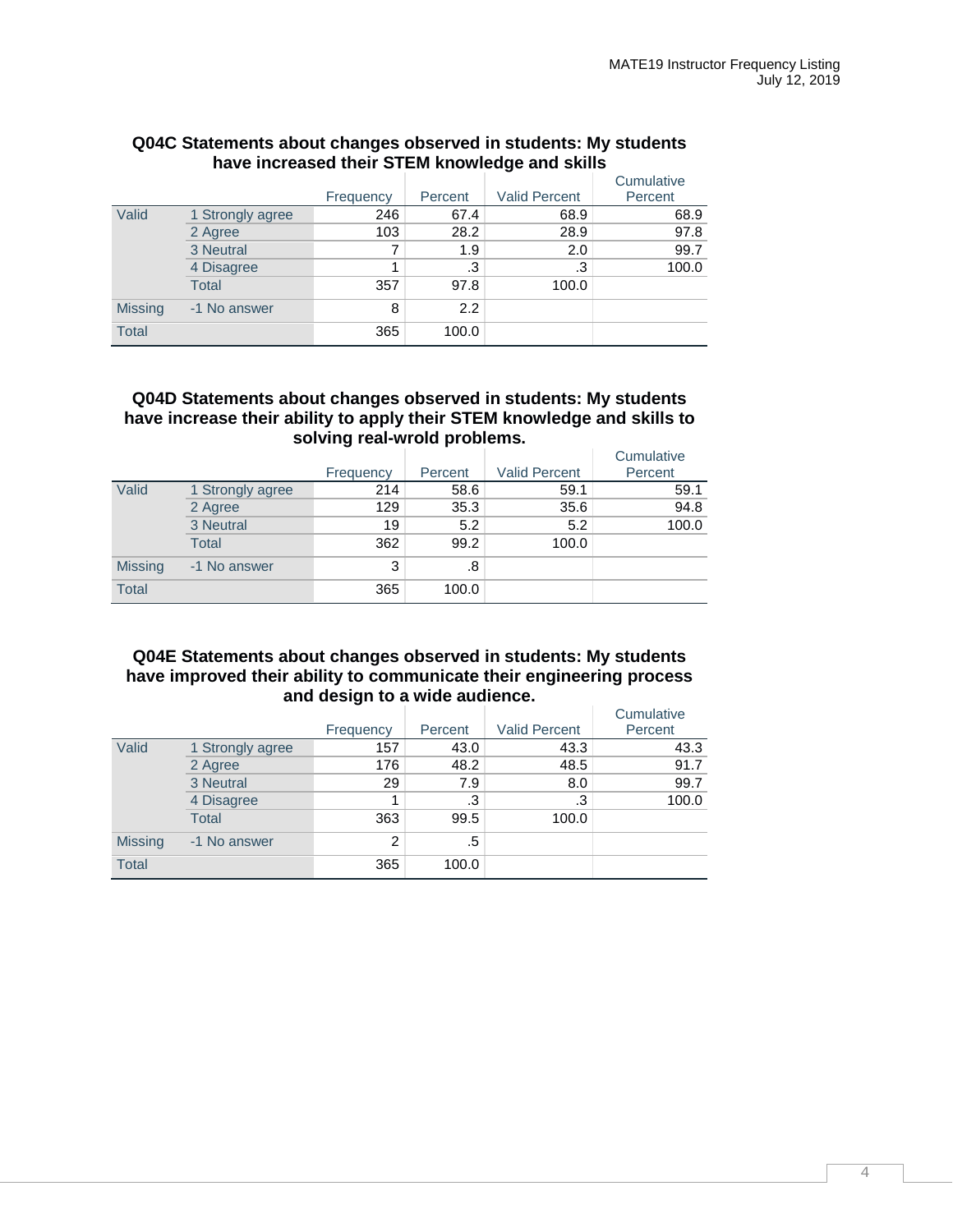|                |                  |           |         |                      | Cumulative |
|----------------|------------------|-----------|---------|----------------------|------------|
|                |                  | Frequency | Percent | <b>Valid Percent</b> | Percent    |
| Valid          | 1 Strongly agree | 246       | 67.4    | 68.9                 | 68.9       |
|                | 2 Agree          | 103       | 28.2    | 28.9                 | 97.8       |
|                | 3 Neutral        |           | 1.9     | 2.0                  | 99.7       |
|                | 4 Disagree       |           | .3      | .3                   | 100.0      |
|                | <b>Total</b>     | 357       | 97.8    | 100.0                |            |
| <b>Missing</b> | -1 No answer     | 8         | 2.2     |                      |            |
| <b>Total</b>   |                  | 365       | 100.0   |                      |            |

### **Q04C Statements about changes observed in students: My students have increased their STEM knowledge and skills**

### **Q04D Statements about changes observed in students: My students have increase their ability to apply their STEM knowledge and skills to solving real-wrold problems.**

|                |                  |           |         |                      | Cumulative |
|----------------|------------------|-----------|---------|----------------------|------------|
|                |                  | Frequency | Percent | <b>Valid Percent</b> | Percent    |
| Valid          | 1 Strongly agree | 214       | 58.6    | 59.1                 | 59.1       |
|                | 2 Agree          | 129       | 35.3    | 35.6                 | 94.8       |
|                | 3 Neutral        | 19        | 5.2     | 5.2                  | 100.0      |
|                | Total            | 362       | 99.2    | 100.0                |            |
| <b>Missing</b> | -1 No answer     | 3         | .8      |                      |            |
| <b>Total</b>   |                  | 365       | 100.0   |                      |            |

## **Q04E Statements about changes observed in students: My students have improved their ability to communicate their engineering process and design to a wide audience.**

|                |                  |           |         |                      | Cumulative |
|----------------|------------------|-----------|---------|----------------------|------------|
|                |                  | Frequency | Percent | <b>Valid Percent</b> | Percent    |
| Valid          | 1 Strongly agree | 157       | 43.0    | 43.3                 | 43.3       |
|                | 2 Agree          | 176       | 48.2    | 48.5                 | 91.7       |
|                | 3 Neutral        | 29        | 7.9     | 8.0                  | 99.7       |
|                | 4 Disagree       |           | .3      | .3                   | 100.0      |
|                | <b>Total</b>     | 363       | 99.5    | 100.0                |            |
| <b>Missing</b> | -1 No answer     | 2         | .5      |                      |            |
| <b>Total</b>   |                  | 365       | 100.0   |                      |            |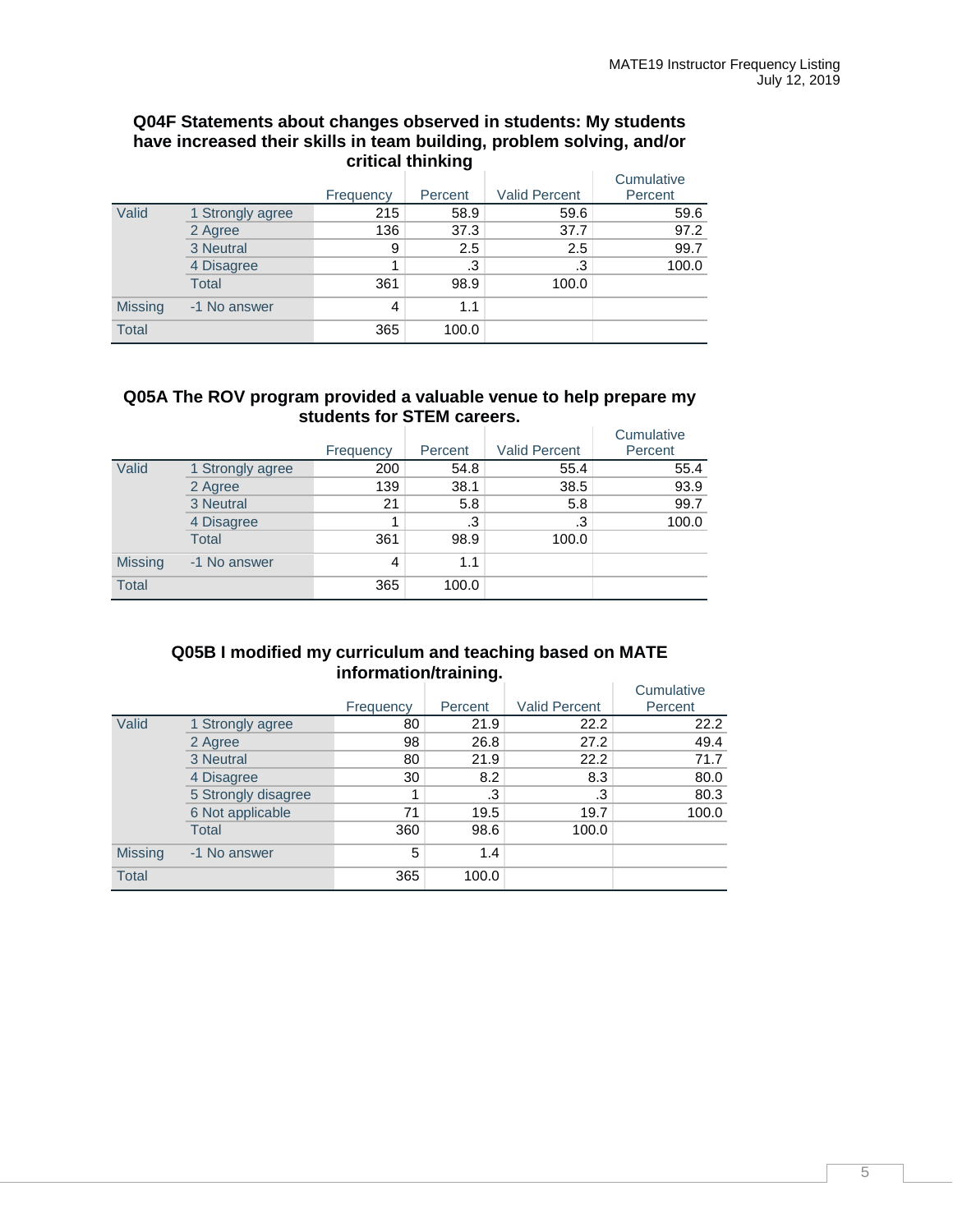#### **Q04F Statements about changes observed in students: My students have increased their skills in team building, problem solving, and/or critical thinking**

|                |                  | Frequency | Percent | <b>Valid Percent</b> | Cumulative<br>Percent |
|----------------|------------------|-----------|---------|----------------------|-----------------------|
| Valid          | 1 Strongly agree | 215       | 58.9    | 59.6                 | 59.6                  |
|                | 2 Agree          | 136       | 37.3    | 37.7                 | 97.2                  |
|                | 3 Neutral        | 9         | 2.5     | 2.5                  | 99.7                  |
|                | 4 Disagree       |           | .3      | .3                   | 100.0                 |
|                | Total            | 361       | 98.9    | 100.0                |                       |
| <b>Missing</b> | -1 No answer     | 4         | 1.1     |                      |                       |
| <b>Total</b>   |                  | 365       | 100.0   |                      |                       |

### **Q05A The ROV program provided a valuable venue to help prepare my students for STEM careers.**

|                |                  |           |         |                      | Cumulative |
|----------------|------------------|-----------|---------|----------------------|------------|
|                |                  | Frequency | Percent | <b>Valid Percent</b> | Percent    |
| Valid          | 1 Strongly agree | 200       | 54.8    | 55.4                 | 55.4       |
|                | 2 Agree          | 139       | 38.1    | 38.5                 | 93.9       |
|                | 3 Neutral        | 21        | 5.8     | 5.8                  | 99.7       |
|                | 4 Disagree       |           | .3      | .3                   | 100.0      |
|                | Total            | 361       | 98.9    | 100.0                |            |
| <b>Missing</b> | -1 No answer     | 4         | 1.1     |                      |            |
| <b>Total</b>   |                  | 365       | 100.0   |                      |            |

## **Q05B I modified my curriculum and teaching based on MATE information/training.**

|                |                     | Frequency | Percent | <b>Valid Percent</b> | Cumulative<br>Percent |
|----------------|---------------------|-----------|---------|----------------------|-----------------------|
| Valid          | 1 Strongly agree    | 80        | 21.9    | 22.2                 | 22.2                  |
|                | 2 Agree             | 98        | 26.8    | 27.2                 | 49.4                  |
|                | 3 Neutral           | 80        | 21.9    | 22.2                 | 71.7                  |
|                | 4 Disagree          | 30        | 8.2     | 8.3                  | 80.0                  |
|                | 5 Strongly disagree |           | .3      | .3                   | 80.3                  |
|                | 6 Not applicable    | 71        | 19.5    | 19.7                 | 100.0                 |
|                | <b>Total</b>        | 360       | 98.6    | 100.0                |                       |
| <b>Missing</b> | -1 No answer        | 5         | 1.4     |                      |                       |
| <b>Total</b>   |                     | 365       | 100.0   |                      |                       |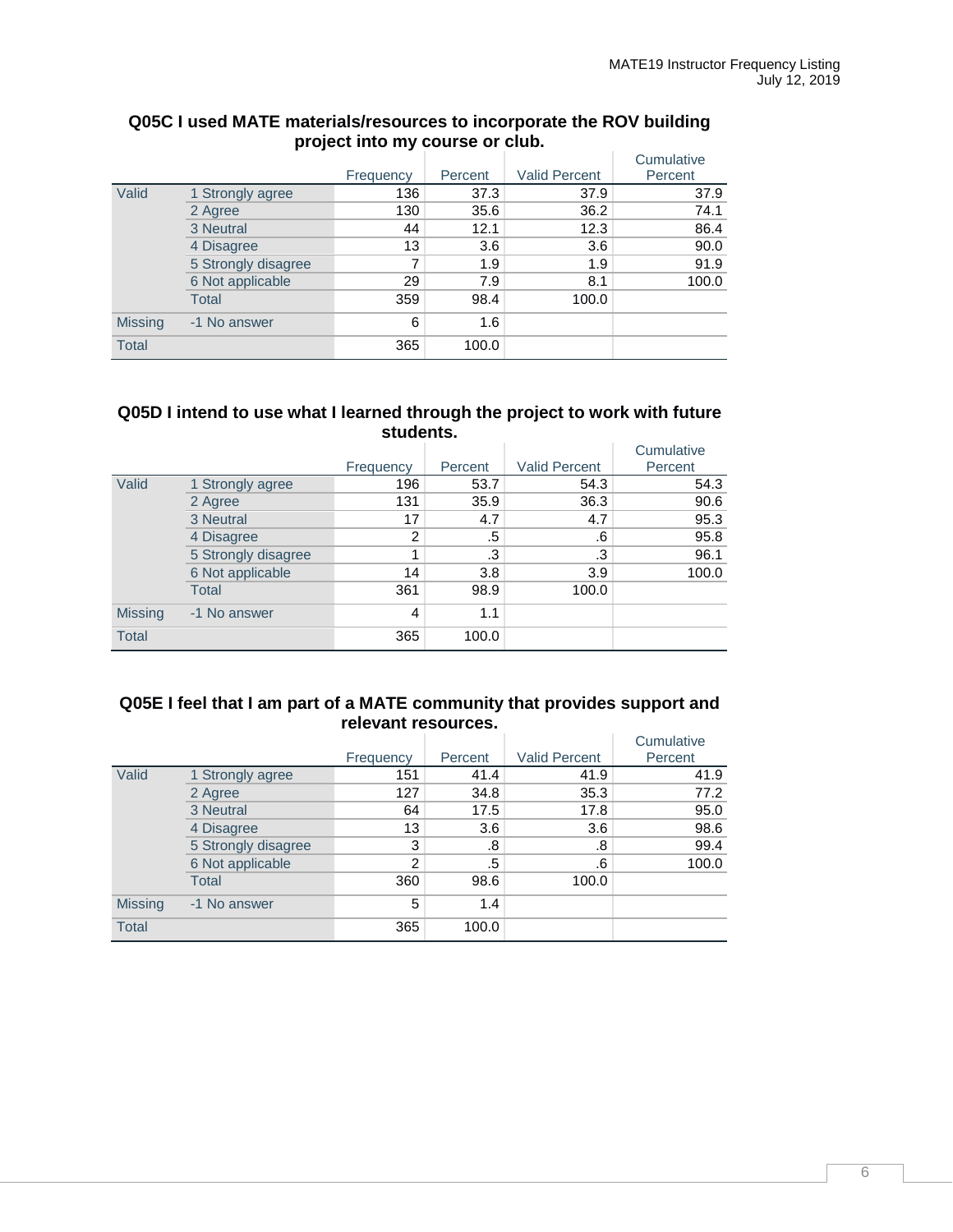|                |                     |           |         |                      | Cumulative |
|----------------|---------------------|-----------|---------|----------------------|------------|
|                |                     | Frequency | Percent | <b>Valid Percent</b> | Percent    |
| Valid          | 1 Strongly agree    | 136       | 37.3    | 37.9                 | 37.9       |
|                | 2 Agree             | 130       | 35.6    | 36.2                 | 74.1       |
|                | 3 Neutral           | 44        | 12.1    | 12.3                 | 86.4       |
|                | 4 Disagree          | 13        | 3.6     | 3.6                  | 90.0       |
|                | 5 Strongly disagree | 7         | 1.9     | 1.9                  | 91.9       |
|                | 6 Not applicable    | 29        | 7.9     | 8.1                  | 100.0      |
|                | Total               | 359       | 98.4    | 100.0                |            |
| <b>Missing</b> | -1 No answer        | 6         | 1.6     |                      |            |
| <b>Total</b>   |                     | 365       | 100.0   |                      |            |

## **Q05C I used MATE materials/resources to incorporate the ROV building project into my course or club.**

## **Q05D I intend to use what I learned through the project to work with future students.**

|                |                     | Frequency | Percent | <b>Valid Percent</b> | Cumulative<br>Percent |
|----------------|---------------------|-----------|---------|----------------------|-----------------------|
| Valid          | 1 Strongly agree    | 196       | 53.7    | 54.3                 | 54.3                  |
|                |                     |           |         |                      |                       |
|                | 2 Agree             | 131       | 35.9    | 36.3                 | 90.6                  |
|                | 3 Neutral           | 17        | 4.7     | 4.7                  | 95.3                  |
|                | 4 Disagree          | 2         | .5      | .6                   | 95.8                  |
|                | 5 Strongly disagree |           | .3      | .3                   | 96.1                  |
|                | 6 Not applicable    | 14        | 3.8     | 3.9                  | 100.0                 |
|                | <b>Total</b>        | 361       | 98.9    | 100.0                |                       |
| <b>Missing</b> | -1 No answer        | 4         | 1.1     |                      |                       |
| <b>Total</b>   |                     | 365       | 100.0   |                      |                       |

## **Q05E I feel that I am part of a MATE community that provides support and relevant resources.**

|                |                     |           |         |                      | Cumulative |
|----------------|---------------------|-----------|---------|----------------------|------------|
|                |                     | Frequency | Percent | <b>Valid Percent</b> | Percent    |
| Valid          | 1 Strongly agree    | 151       | 41.4    | 41.9                 | 41.9       |
|                | 2 Agree             | 127       | 34.8    | 35.3                 | 77.2       |
|                | 3 Neutral           | 64        | 17.5    | 17.8                 | 95.0       |
|                | 4 Disagree          | 13        | 3.6     | 3.6                  | 98.6       |
|                | 5 Strongly disagree | 3         | .8      | .8                   | 99.4       |
|                | 6 Not applicable    | 2         | .5      | .6                   | 100.0      |
|                | <b>Total</b>        | 360       | 98.6    | 100.0                |            |
| <b>Missing</b> | -1 No answer        | 5         | 1.4     |                      |            |
| <b>Total</b>   |                     | 365       | 100.0   |                      |            |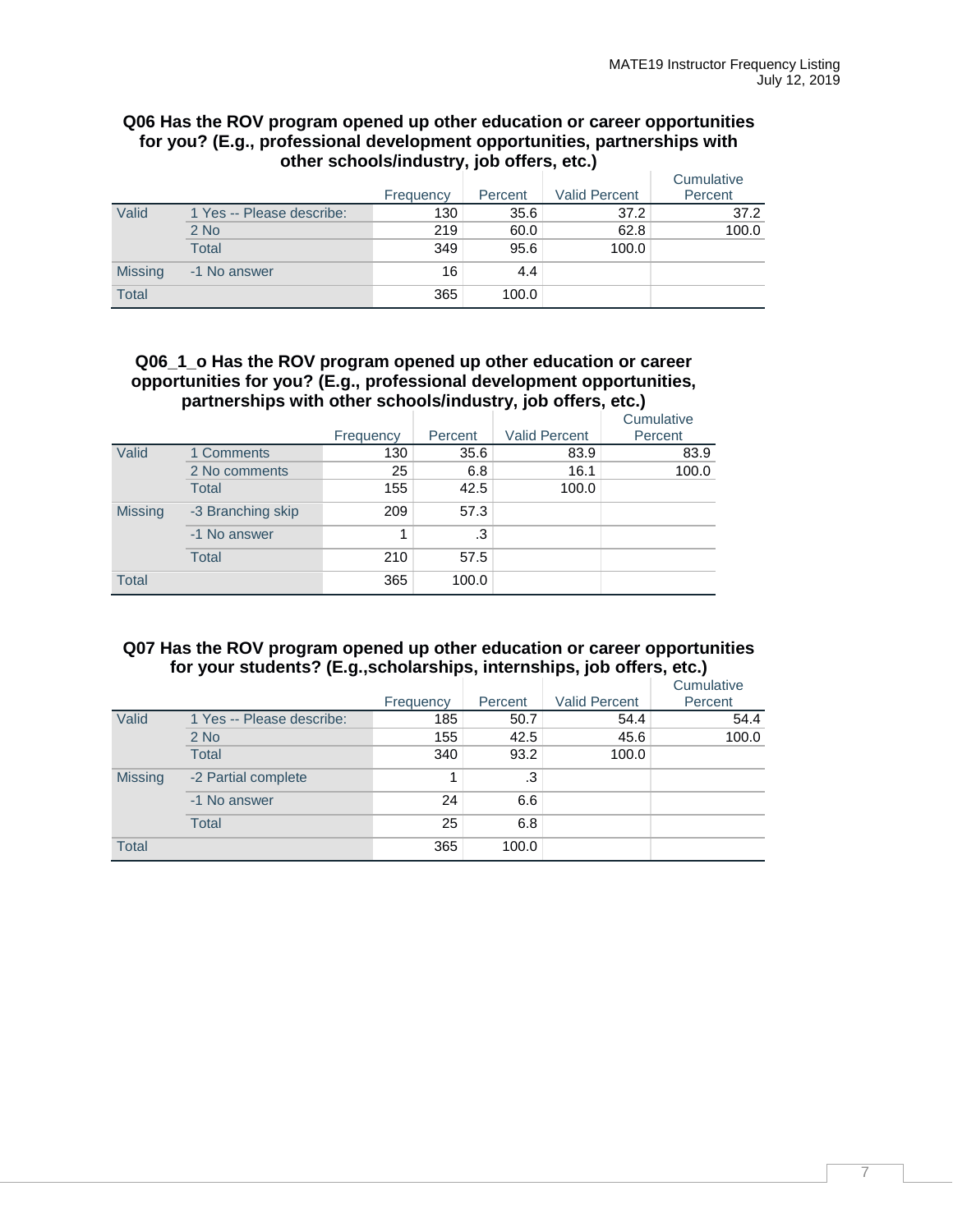#### **Q06 Has the ROV program opened up other education or career opportunities for you? (E.g., professional development opportunities, partnerships with other schools/industry, job offers, etc.)**

|                |                           | Frequency | Percent | <b>Valid Percent</b> | Cumulative<br>Percent |
|----------------|---------------------------|-----------|---------|----------------------|-----------------------|
| Valid          | 1 Yes -- Please describe: | 130       | 35.6    | 37.2                 | 37.2                  |
|                | $2$ No                    | 219       | 60.0    | 62.8                 | 100.0                 |
|                | <b>Total</b>              | 349       | 95.6    | 100.0                |                       |
| <b>Missing</b> | -1 No answer              | 16        | 4.4     |                      |                       |
| Total          |                           | 365       | 100.0   |                      |                       |

#### **Q06\_1\_o Has the ROV program opened up other education or career opportunities for you? (E.g., professional development opportunities, partnerships with other schools/industry, job offers, etc.)**

|                |                   |           |         |                      | Cumulative |
|----------------|-------------------|-----------|---------|----------------------|------------|
|                |                   | Frequency | Percent | <b>Valid Percent</b> | Percent    |
| Valid          | 1 Comments        | 130       | 35.6    | 83.9                 | 83.9       |
|                | 2 No comments     | 25        | 6.8     | 16.1                 | 100.0      |
|                | Total             | 155       | 42.5    | 100.0                |            |
| <b>Missing</b> | -3 Branching skip | 209       | 57.3    |                      |            |
|                | -1 No answer      | 1         | $.3\,$  |                      |            |
|                | <b>Total</b>      | 210       | 57.5    |                      |            |
| <b>Total</b>   |                   | 365       | 100.0   |                      |            |

## **Q07 Has the ROV program opened up other education or career opportunities for your students? (E.g.,scholarships, internships, job offers, etc.)**

|                |                           | Frequency | Percent | <b>Valid Percent</b> | Cumulative<br>Percent |
|----------------|---------------------------|-----------|---------|----------------------|-----------------------|
| Valid          | 1 Yes -- Please describe: | 185       | 50.7    | 54.4                 | 54.4                  |
|                | $2$ No                    | 155       | 42.5    | 45.6                 | 100.0                 |
|                | <b>Total</b>              | 340       | 93.2    | 100.0                |                       |
| <b>Missing</b> | -2 Partial complete       |           | .3      |                      |                       |
|                | -1 No answer              | 24        | 6.6     |                      |                       |
|                | <b>Total</b>              | 25        | 6.8     |                      |                       |
| <b>Total</b>   |                           | 365       | 100.0   |                      |                       |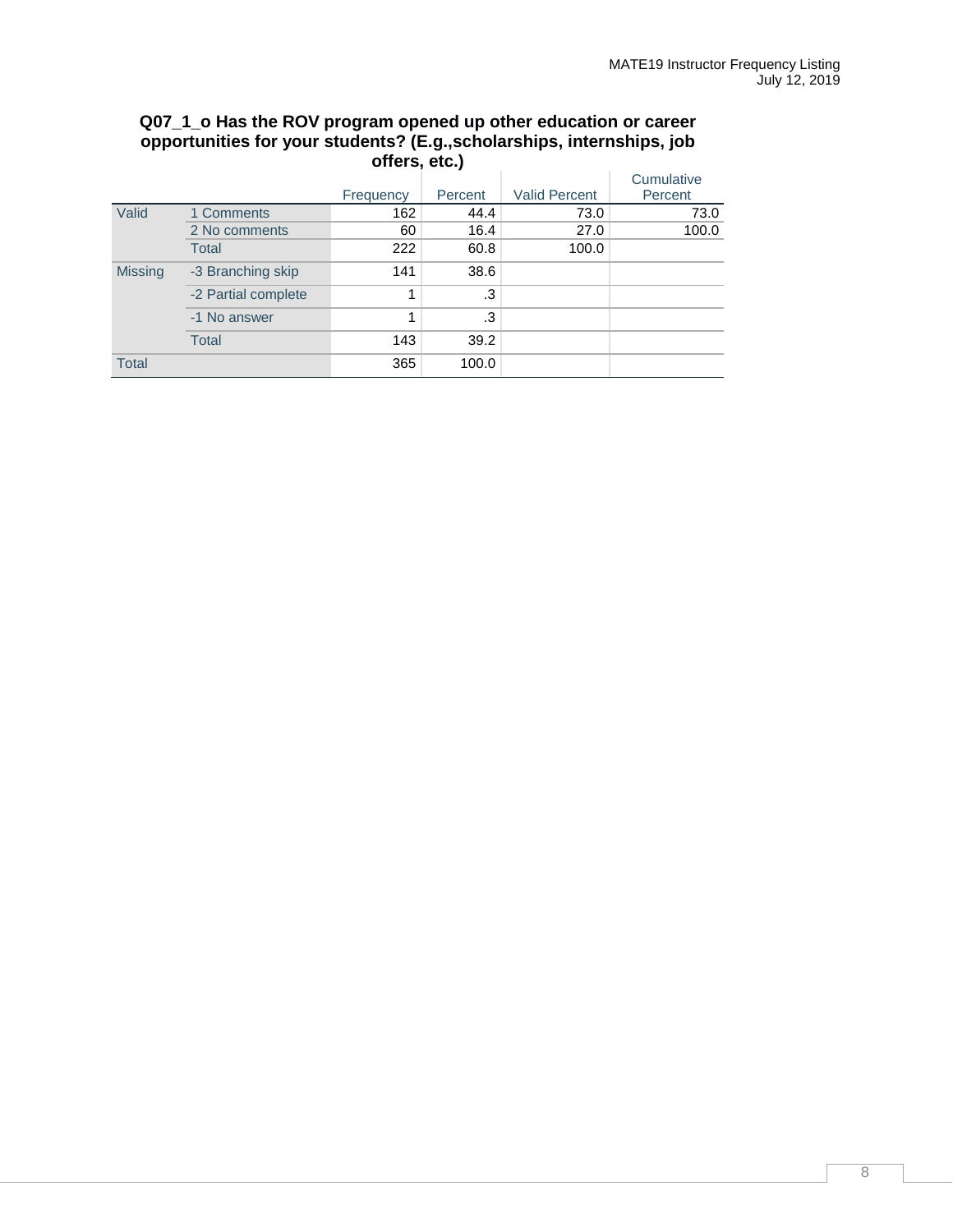|                |                     | Frequency | Percent | <b>Valid Percent</b> | Cumulative<br>Percent |
|----------------|---------------------|-----------|---------|----------------------|-----------------------|
| Valid          | 1 Comments          | 162       | 44.4    | 73.0                 | 73.0                  |
|                | 2 No comments       | 60        | 16.4    | 27.0                 | 100.0                 |
|                | <b>Total</b>        | 222       | 60.8    | 100.0                |                       |
| <b>Missing</b> | -3 Branching skip   | 141       | 38.6    |                      |                       |
|                | -2 Partial complete | 1         | .3      |                      |                       |
|                | -1 No answer        | 1         | .3      |                      |                       |
|                | <b>Total</b>        | 143       | 39.2    |                      |                       |
| <b>Total</b>   |                     | 365       | 100.0   |                      |                       |

## **Q07\_1\_o Has the ROV program opened up other education or career opportunities for your students? (E.g.,scholarships, internships, job offers, etc.)**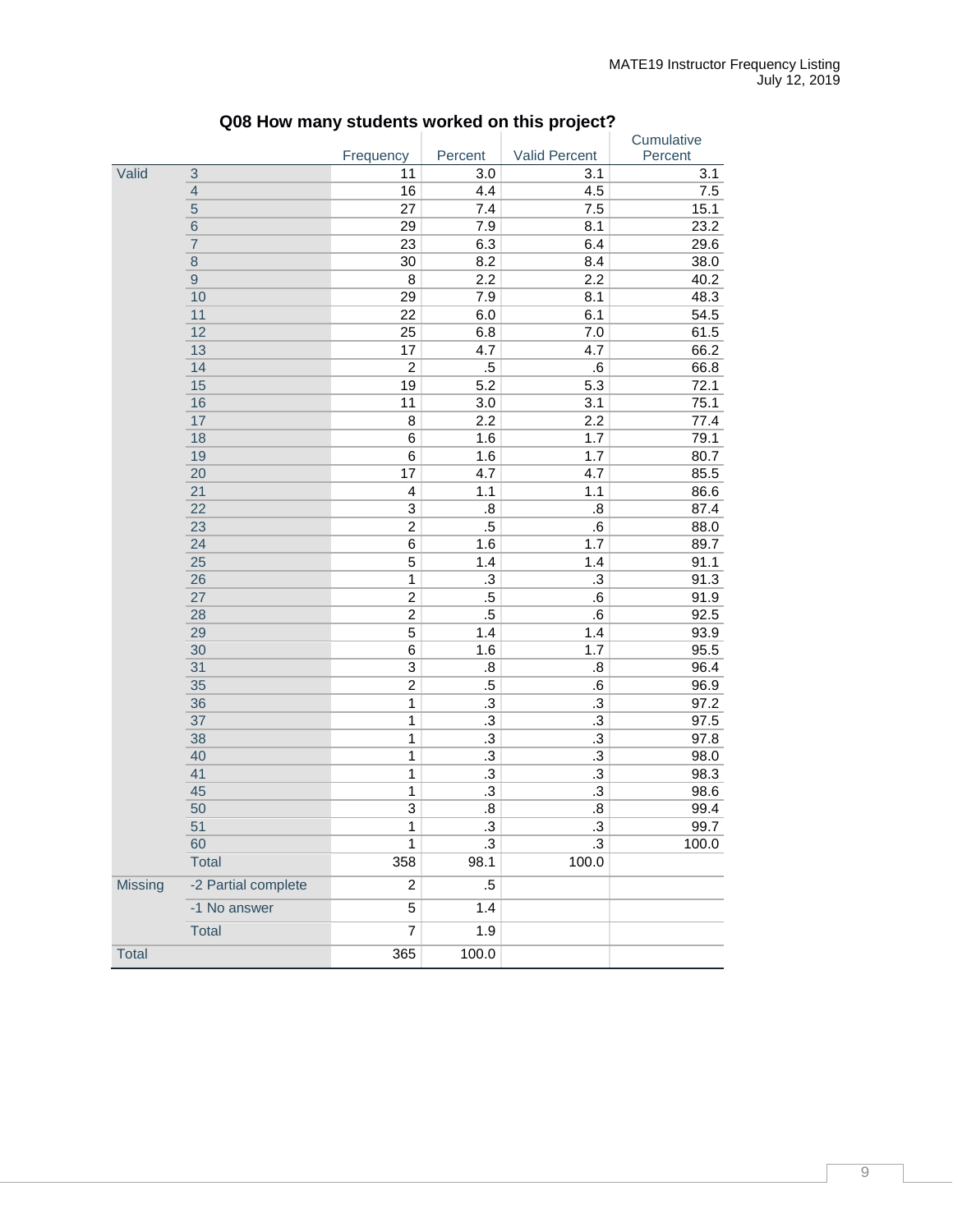|                |                     |                         |                   |                  | Cumulative |
|----------------|---------------------|-------------------------|-------------------|------------------|------------|
|                |                     | Frequency               | Percent           | Valid Percent    | Percent    |
| Valid          | 3                   | 11                      | 3.0               | 3.1              | 3.1        |
|                | $\overline{4}$      | 16                      | 4.4               | 4.5              | 7.5        |
|                | $\overline{5}$      | 27                      | 7.4               | 7.5              | 15.1       |
|                | $6\phantom{1}6$     | 29                      | 7.9               | 8.1              | 23.2       |
|                | $\overline{7}$      | 23                      | 6.3               | 6.4              | 29.6       |
|                | $\bf 8$             | 30                      | 8.2               | 8.4              | 38.0       |
|                | $\boldsymbol{9}$    | $\bf 8$                 | 2.2               | 2.2              | 40.2       |
|                | 10                  | 29                      | 7.9               | 8.1              | 48.3       |
|                | 11                  | 22                      | 6.0               | 6.1              | 54.5       |
|                | 12                  | 25                      | 6.8               | 7.0              | 61.5       |
|                | 13                  | 17                      | 4.7               | 4.7              | 66.2       |
|                | 14                  | $\overline{2}$          | $.5\,$            | $\cdot 6$        | 66.8       |
|                | 15                  | 19                      | 5.2               | 5.3              | 72.1       |
|                | 16                  | 11                      | 3.0               | 3.1              | 75.1       |
|                | 17                  | 8                       | 2.2               | 2.2              | 77.4       |
|                | 18                  | 6                       | 1.6               | 1.7              | 79.1       |
|                | 19                  | 6                       | 1.6               | 1.7              | 80.7       |
|                | 20                  | 17                      | 4.7               | 4.7              | 85.5       |
|                | 21                  | $\overline{\mathbf{4}}$ | 1.1               | 1.1              | 86.6       |
|                | $\overline{22}$     | $\overline{3}$          | $\overline{8}$    | 8.5              | 87.4       |
|                | 23                  | $\overline{2}$          | $.5\overline{)}$  | $\cdot 6$        | 88.0       |
|                | 24                  | 6                       | 1.6               | 1.7              | 89.7       |
|                | 25                  | $\overline{\mathbf{5}}$ | 1.4               | 1.4              | 91.1       |
|                | 26                  | $\mathbf{1}$            | $\cdot$ 3         | .3               | 91.3       |
|                | 27                  | $\overline{c}$          | $.5\,$            | .6               | 91.9       |
|                | 28                  | $\overline{c}$          | $.5\,$            | $\cdot 6$        | 92.5       |
|                | 29                  | 5                       | 1.4               | 1.4              | 93.9       |
|                | 30                  | $\overline{6}$          | 1.6               | 1.7              | 95.5       |
|                | 31                  | $\overline{3}$          | $\boldsymbol{.8}$ | 8.5              | 96.4       |
|                | 35                  | $\overline{2}$          | $.5\,$            | 6.6              | 96.9       |
|                | 36                  | $\overline{1}$          | $\cdot$ 3         | $\cdot$ 3        | 97.2       |
|                | 37                  | $\mathbf{1}$            | $\cdot$           | $\cdot$          | 97.5       |
|                | 38                  | $\mathbf{1}$            | $\cdot$           | .3               | 97.8       |
|                | 40                  | $\mathbf{1}$            | $\cdot$ 3         | $.3\,$           | 98.0       |
|                | 41                  | $\mathbf{1}$            | $\cdot$           | $.3\,$           | 98.3       |
|                | 45                  | $\mathbf{1}$            | $\cdot$ 3         | $.3\,$           | 98.6       |
|                | 50                  | $\overline{3}$          | $\boldsymbol{.8}$ | $\boldsymbol{8}$ | 99.4       |
|                | 51                  | $\overline{1}$          | $\overline{.3}$   | $\cdot$ 3        | 99.7       |
|                | 60                  | 1                       | $\cdot$ 3         | $\cdot$ 3        | 100.0      |
|                | <b>Total</b>        | 358                     | 98.1              | 100.0            |            |
| <b>Missing</b> | -2 Partial complete | 2                       | $.5\,$            |                  |            |
|                | -1 No answer        | 5                       | 1.4               |                  |            |
|                | Total               | $\overline{7}$          | 1.9               |                  |            |
| Total          |                     | 365                     | 100.0             |                  |            |

# **Q08 How many students worked on this project?**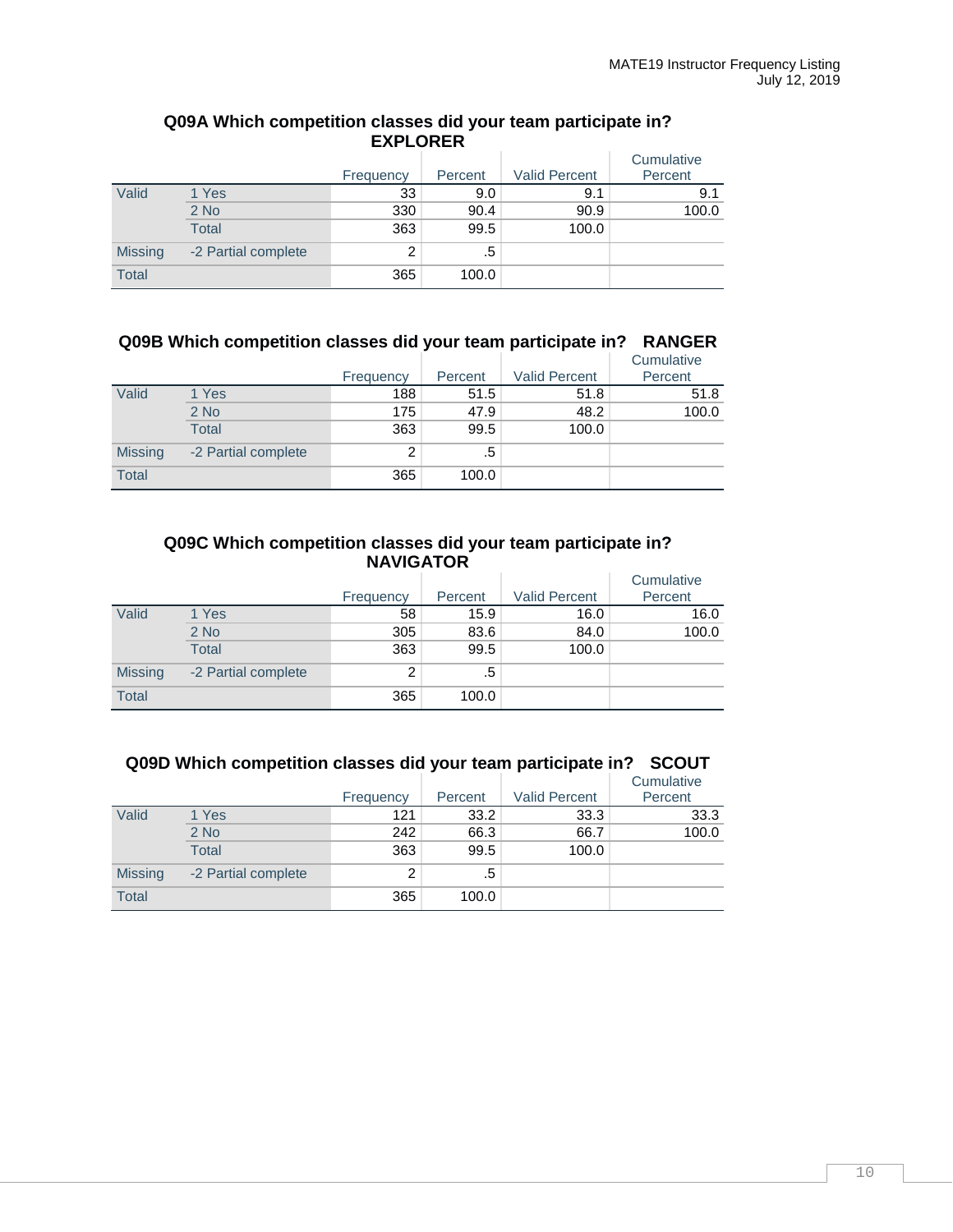| Q09A Which competition classes did your team participate in? |                 |  |
|--------------------------------------------------------------|-----------------|--|
|                                                              | <b>EXPLORER</b> |  |

|                |                     | Frequency | Percent | <b>Valid Percent</b> | Cumulative<br>Percent |
|----------------|---------------------|-----------|---------|----------------------|-----------------------|
| Valid          | 1 Yes               | 33        | 9.0     | 9.1                  | 9.1                   |
|                | $2$ No              | 330       | 90.4    | 90.9                 | 100.0                 |
|                | Total               | 363       | 99.5    | 100.0                |                       |
| <b>Missing</b> | -2 Partial complete | 2         | .5      |                      |                       |
| <b>Total</b>   |                     | 365       | 100.0   |                      |                       |

## **Q09B Which competition classes did your team participate in? RANGER**

|                |                     | Frequency | Percent | <b>Valid Percent</b> | Cumulative<br>Percent |
|----------------|---------------------|-----------|---------|----------------------|-----------------------|
| Valid          | 1 Yes               | 188       | 51.5    | 51.8                 | 51.8                  |
|                | $2$ No              | 175       | 47.9    | 48.2                 | 100.0                 |
|                | <b>Total</b>        | 363       | 99.5    | 100.0                |                       |
| <b>Missing</b> | -2 Partial complete | 2         | .5      |                      |                       |
| <b>Total</b>   |                     | 365       | 100.0   |                      |                       |

## **Q09C Which competition classes did your team participate in? NAVIGATOR**

|                |                     | Frequency | Percent | <b>Valid Percent</b> | Cumulative<br>Percent |
|----------------|---------------------|-----------|---------|----------------------|-----------------------|
| Valid          | 1 Yes               | 58        | 15.9    | 16.0                 | 16.0                  |
|                | $2$ No              | 305       | 83.6    | 84.0                 | 100.0                 |
|                | Total               | 363       | 99.5    | 100.0                |                       |
| <b>Missing</b> | -2 Partial complete | 2         | .5      |                      |                       |
| <b>Total</b>   |                     | 365       | 100.0   |                      |                       |

## **Q09D Which competition classes did your team participate in? SCOUT**

|                |                     | Frequency | Percent | <b>Valid Percent</b> | Cumulative<br>Percent |
|----------------|---------------------|-----------|---------|----------------------|-----------------------|
| Valid          | 1 Yes               | 121       | 33.2    | 33.3                 | 33.3                  |
|                | $2$ No              | 242       | 66.3    | 66.7                 | 100.0                 |
|                | <b>Total</b>        | 363       | 99.5    | 100.0                |                       |
| <b>Missing</b> | -2 Partial complete | 2         | .5      |                      |                       |
| <b>Total</b>   |                     | 365       | 100.0   |                      |                       |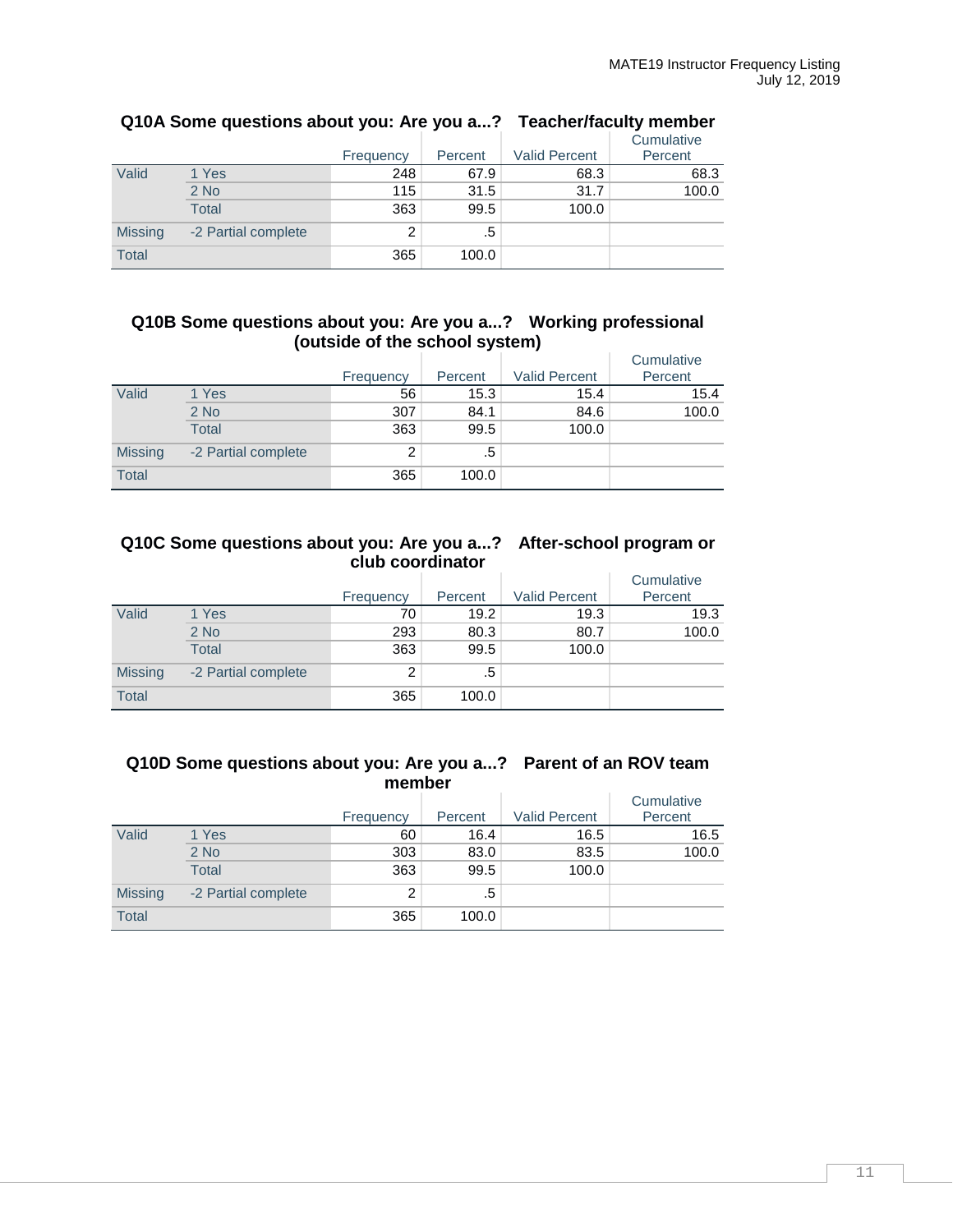|                |                     |           |         |                      | Cumulative |
|----------------|---------------------|-----------|---------|----------------------|------------|
|                |                     | Frequency | Percent | <b>Valid Percent</b> | Percent    |
| Valid          | 1 Yes               | 248       | 67.9    | 68.3                 | 68.3       |
|                | $2$ No              | 115       | 31.5    | 31.7                 | 100.0      |
|                | Total               | 363       | 99.5    | 100.0                |            |
| <b>Missing</b> | -2 Partial complete | 2         | .5      |                      |            |
| <b>Total</b>   |                     | 365       | 100.0   |                      |            |

## **Q10A Some questions about you: Are you a...? Teacher/faculty member**

## **Q10B Some questions about you: Are you a...? Working professional (outside of the school system)**

|                |                     | Frequency | -<br>Percent | . .<br><b>Valid Percent</b> | Cumulative<br>Percent |
|----------------|---------------------|-----------|--------------|-----------------------------|-----------------------|
| Valid          | 1 Yes               | 56        | 15.3         | 15.4                        | 15.4                  |
|                | $2$ No              | 307       | 84.1         | 84.6                        | 100.0                 |
|                | <b>Total</b>        | 363       | 99.5         | 100.0                       |                       |
| <b>Missing</b> | -2 Partial complete | 2         | .5           |                             |                       |
| <b>Total</b>   |                     | 365       | 100.0        |                             |                       |

## **Q10C Some questions about you: Are you a...? After-school program or club coordinator**

|                |                     | Frequency | Percent | <b>Valid Percent</b> | Cumulative<br>Percent |
|----------------|---------------------|-----------|---------|----------------------|-----------------------|
| Valid          | 1 Yes               | 70        | 19.2    | 19.3                 | 19.3                  |
|                | $2$ No              | 293       | 80.3    | 80.7                 | 100.0                 |
|                | <b>Total</b>        | 363       | 99.5    | 100.0                |                       |
| <b>Missing</b> | -2 Partial complete | 2         | .5      |                      |                       |
| <b>Total</b>   |                     | 365       | 100.0   |                      |                       |

## **Q10D Some questions about you: Are you a...? Parent of an ROV team member**

|                |                     | Frequency | Percent | <b>Valid Percent</b> | Cumulative<br>Percent |
|----------------|---------------------|-----------|---------|----------------------|-----------------------|
| Valid          | 1 Yes               | 60        | 16.4    | 16.5                 | 16.5                  |
|                | 2 No                | 303       | 83.0    | 83.5                 | 100.0                 |
|                | Total               | 363       | 99.5    | 100.0                |                       |
| <b>Missing</b> | -2 Partial complete | 2         | .5      |                      |                       |
| <b>Total</b>   |                     | 365       | 100.0   |                      |                       |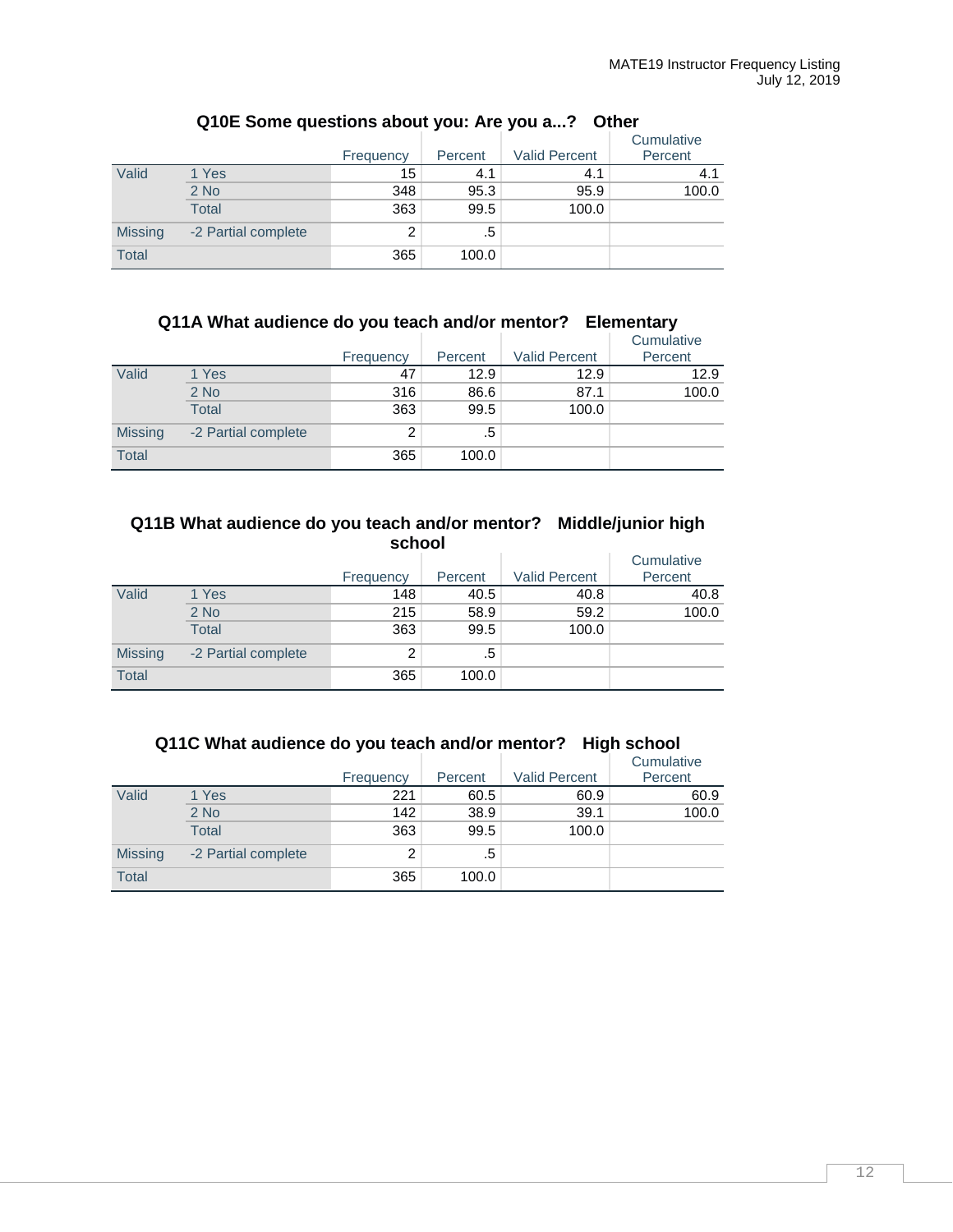|                |                     | Frequency | Percent | <b>Valid Percent</b> | Cumulative<br>Percent |
|----------------|---------------------|-----------|---------|----------------------|-----------------------|
| Valid          | 1 Yes               | 15        | 4.1     | 4.1                  | 4.1                   |
|                | $2$ No              | 348       | 95.3    | 95.9                 | 100.0                 |
|                | <b>Total</b>        | 363       | 99.5    | 100.0                |                       |
| <b>Missing</b> | -2 Partial complete | 2         | .5      |                      |                       |
| <b>Total</b>   |                     | 365       | 100.0   |                      |                       |

## **Q10E Some questions about you: Are you a...? Other**

## **Q11A What audience do you teach and/or mentor? Elementary**

|                |                     | Frequency | Percent | <b>Valid Percent</b> | Cumulative<br>Percent |
|----------------|---------------------|-----------|---------|----------------------|-----------------------|
| Valid          | 1 Yes               | 47        | 12.9    | 12.9                 | 12.9                  |
|                | $2$ No              | 316       | 86.6    | 87.1                 | 100.0                 |
|                | <b>Total</b>        | 363       | 99.5    | 100.0                |                       |
| <b>Missing</b> | -2 Partial complete | 2         | .5      |                      |                       |
| <b>Total</b>   |                     | 365       | 100.0   |                      |                       |

### **Q11B What audience do you teach and/or mentor? Middle/junior high school**

|                |                     | Frequency | Percent | <b>Valid Percent</b> | Cumulative<br>Percent |
|----------------|---------------------|-----------|---------|----------------------|-----------------------|
| Valid          | 1 Yes               | 148       | 40.5    | 40.8                 | 40.8                  |
|                | $2$ No              | 215       | 58.9    | 59.2                 | 100.0                 |
|                | <b>Total</b>        | 363       | 99.5    | 100.0                |                       |
| <b>Missing</b> | -2 Partial complete | 2         | .5      |                      |                       |
| <b>Total</b>   |                     | 365       | 100.0   |                      |                       |

## **Q11C What audience do you teach and/or mentor? High school**

|                |                     | Frequency | Percent | <b>Valid Percent</b> | Cumulative<br>Percent |
|----------------|---------------------|-----------|---------|----------------------|-----------------------|
| Valid          | 1 Yes               | 221       | 60.5    | 60.9                 | 60.9                  |
|                | $2$ No              | 142       | 38.9    | 39.1                 | 100.0                 |
|                | <b>Total</b>        | 363       | 99.5    | 100.0                |                       |
| <b>Missing</b> | -2 Partial complete | 2         | .5      |                      |                       |
| <b>Total</b>   |                     | 365       | 100.0   |                      |                       |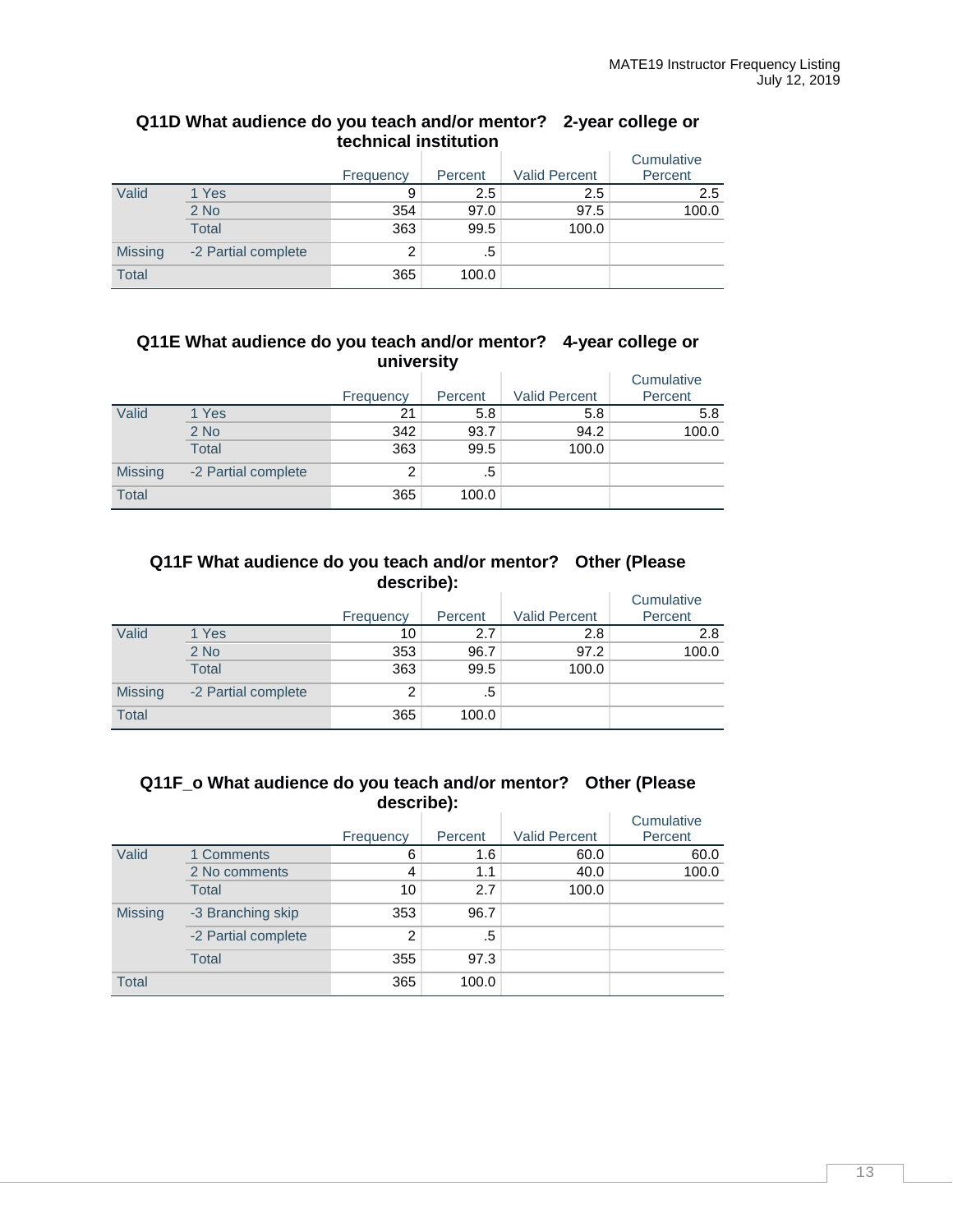|                | LGUILIUGAI IIISLILULIUII |           |         |                      |            |  |  |
|----------------|--------------------------|-----------|---------|----------------------|------------|--|--|
|                |                          |           |         |                      | Cumulative |  |  |
|                |                          | Frequency | Percent | <b>Valid Percent</b> | Percent    |  |  |
| Valid          | 1 Yes                    | 9         | 2.5     | 2.5                  | 2.5        |  |  |
|                | $2$ No                   | 354       | 97.0    | 97.5                 | 100.0      |  |  |
|                | Total                    | 363       | 99.5    | 100.0                |            |  |  |
| <b>Missing</b> | -2 Partial complete      | 2         | .5      |                      |            |  |  |
| <b>Total</b>   |                          | 365       | 100.0   |                      |            |  |  |

## **Q11D What audience do you teach and/or mentor? 2-year college or technical institution**

## **Q11E What audience do you teach and/or mentor? 4-year college or university**

|                |                     |           |         |                      | Cumulative |
|----------------|---------------------|-----------|---------|----------------------|------------|
|                |                     | Frequency | Percent | <b>Valid Percent</b> | Percent    |
| Valid          | 1 Yes               | 21        | 5.8     | 5.8                  | 5.8        |
|                | $2$ No              | 342       | 93.7    | 94.2                 | 100.0      |
|                | <b>Total</b>        | 363       | 99.5    | 100.0                |            |
| <b>Missing</b> | -2 Partial complete | 2         | .5      |                      |            |
| <b>Total</b>   |                     | 365       | 100.0   |                      |            |

## **Q11F What audience do you teach and/or mentor? Other (Please describe):**

|                |                     | Frequency | Percent | <b>Valid Percent</b> | Cumulative<br>Percent |
|----------------|---------------------|-----------|---------|----------------------|-----------------------|
| Valid          | 1 Yes               | 10        | 2.7     | 2.8                  | 2.8                   |
|                | $2$ No              | 353       | 96.7    | 97.2                 | 100.0                 |
|                | <b>Total</b>        | 363       | 99.5    | 100.0                |                       |
| <b>Missing</b> | -2 Partial complete | 2         | .5      |                      |                       |
| <b>Total</b>   |                     | 365       | 100.0   |                      |                       |

### **Q11F\_o What audience do you teach and/or mentor? Other (Please describe):**

|                |                     | Frequency      | Percent | <b>Valid Percent</b> | Cumulative<br>Percent |
|----------------|---------------------|----------------|---------|----------------------|-----------------------|
| Valid          | 1 Comments          | 6              | 1.6     | 60.0                 | 60.0                  |
|                | 2 No comments       | 4              | 1.1     | 40.0                 | 100.0                 |
|                | Total               | 10             | 2.7     | 100.0                |                       |
| <b>Missing</b> | -3 Branching skip   | 353            | 96.7    |                      |                       |
|                | -2 Partial complete | $\overline{2}$ | .5      |                      |                       |
|                | <b>Total</b>        | 355            | 97.3    |                      |                       |
| <b>Total</b>   |                     | 365            | 100.0   |                      |                       |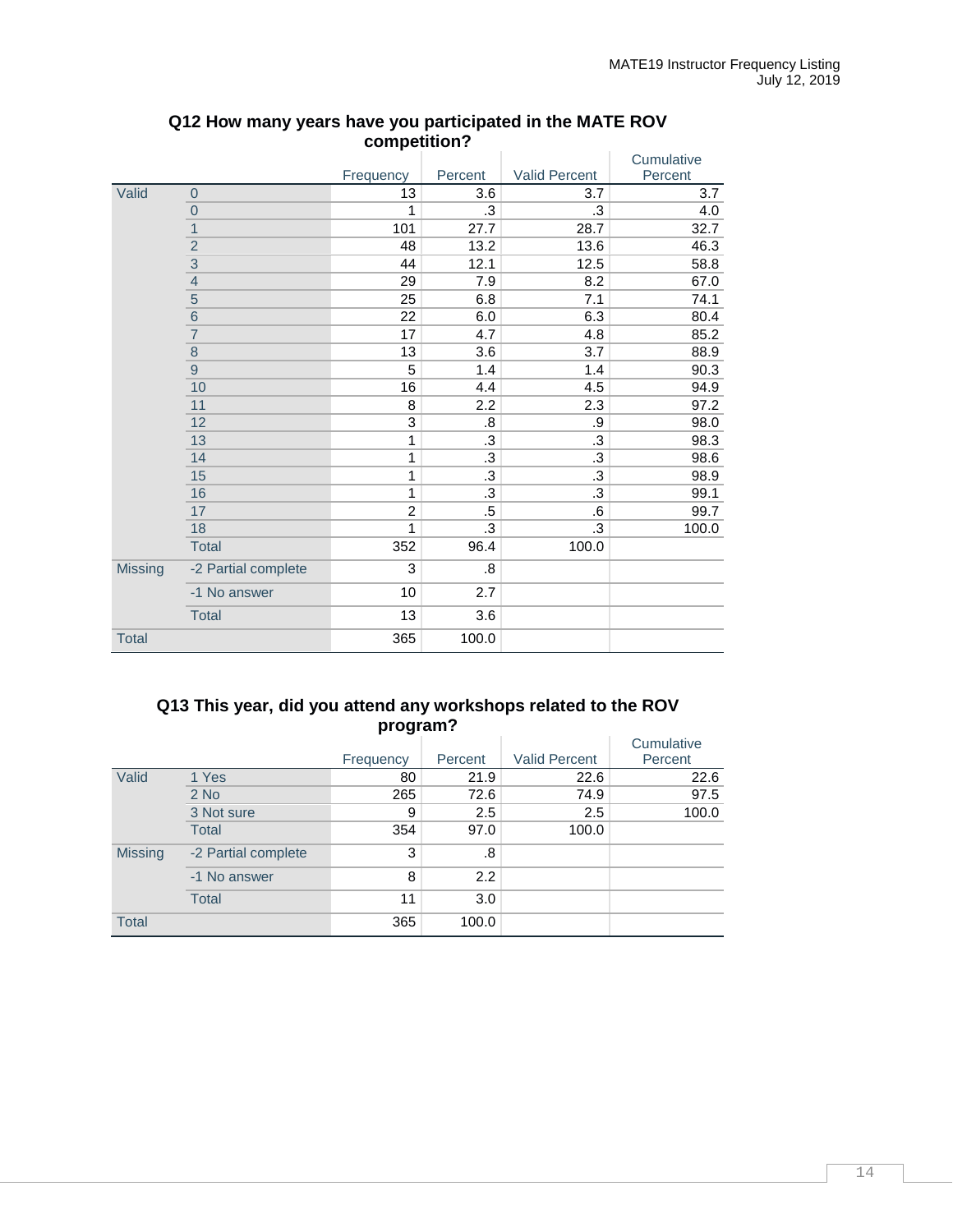|                |                          |                |           |               | Cumulative |
|----------------|--------------------------|----------------|-----------|---------------|------------|
|                |                          | Frequency      | Percent   | Valid Percent | Percent    |
| Valid          | $\overline{0}$           | 13             | 3.6       | 3.7           | 3.7        |
|                | $\mathbf{0}$             | 1              | .3        | .3            | 4.0        |
|                | 1                        | 101            | 27.7      | 28.7          | 32.7       |
|                | $\overline{c}$           | 48             | 13.2      | 13.6          | 46.3       |
|                | $\overline{3}$           | 44             | 12.1      | 12.5          | 58.8       |
|                | $\overline{\mathcal{L}}$ | 29             | 7.9       | 8.2           | 67.0       |
|                | $\overline{5}$           | 25             | 6.8       | 7.1           | 74.1       |
|                | $\overline{6}$           | 22             | 6.0       | 6.3           | 80.4       |
|                | $\overline{7}$           | 17             | 4.7       | 4.8           | 85.2       |
|                | $\bf 8$                  | 13             | 3.6       | 3.7           | 88.9       |
|                | $\overline{9}$           | 5              | 1.4       | 1.4           | 90.3       |
|                | 10                       | 16             | 4.4       | 4.5           | 94.9       |
|                | 11                       | 8              | 2.2       | 2.3           | 97.2       |
|                | 12                       | 3              | .8        | .9            | 98.0       |
|                | 13                       | 1              | .3        | .3            | 98.3       |
|                | 14                       | 1              | $\cdot$ 3 | .3            | 98.6       |
|                | 15                       | 1              | .3        | .3            | 98.9       |
|                | 16                       | 1              | .3        | .3            | 99.1       |
|                | 17                       | $\overline{c}$ | $.5\,$    | .6            | 99.7       |
|                | 18                       | 1              | .3        | .3            | 100.0      |
|                | <b>Total</b>             | 352            | 96.4      | 100.0         |            |
| <b>Missing</b> | -2 Partial complete      | 3              | .8        |               |            |
|                | -1 No answer             | 10             | 2.7       |               |            |
|                | <b>Total</b>             | 13             | 3.6       |               |            |
| <b>Total</b>   |                          | 365            | 100.0     |               |            |

## **Q12 How many years have you participated in the MATE ROV competition?**

## **Q13 This year, did you attend any workshops related to the ROV program?**

|                |                     | ~         |         |                      | Cumulative |
|----------------|---------------------|-----------|---------|----------------------|------------|
|                |                     | Frequency | Percent | <b>Valid Percent</b> | Percent    |
| Valid          | 1 Yes               | 80        | 21.9    | 22.6                 | 22.6       |
|                | $2$ No              | 265       | 72.6    | 74.9                 | 97.5       |
|                | 3 Not sure          | 9         | 2.5     | 2.5                  | 100.0      |
|                | <b>Total</b>        | 354       | 97.0    | 100.0                |            |
| <b>Missing</b> | -2 Partial complete | 3         | .8      |                      |            |
|                | -1 No answer        | 8         | 2.2     |                      |            |
|                | <b>Total</b>        | 11        | 3.0     |                      |            |
| <b>Total</b>   |                     | 365       | 100.0   |                      |            |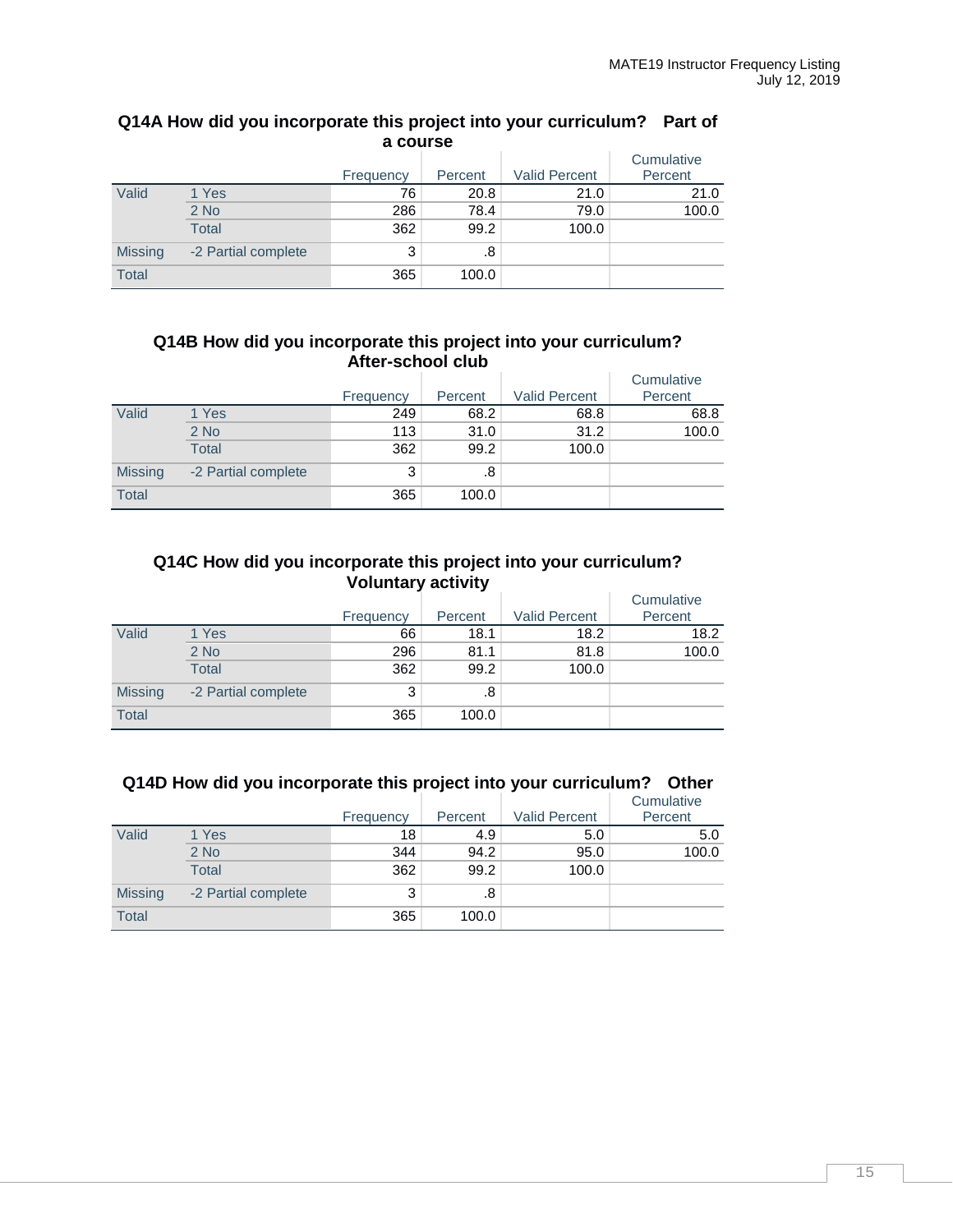|                | a course            |           |         |                      |                       |  |  |  |  |
|----------------|---------------------|-----------|---------|----------------------|-----------------------|--|--|--|--|
|                |                     | Frequency | Percent | <b>Valid Percent</b> | Cumulative<br>Percent |  |  |  |  |
| Valid          | 1 Yes               | 76        | 20.8    | 21.0                 | 21.0                  |  |  |  |  |
|                | $2$ No              | 286       | 78.4    | 79.0                 | 100.0                 |  |  |  |  |
|                | <b>Total</b>        | 362       | 99.2    | 100.0                |                       |  |  |  |  |
| <b>Missing</b> | -2 Partial complete | 3         | .8      |                      |                       |  |  |  |  |
| <b>Total</b>   |                     | 365       | 100.0   |                      |                       |  |  |  |  |

# **Q14A How did you incorporate this project into your curriculum? Part of**

## **Q14B How did you incorporate this project into your curriculum? After-school club**

|                |                     |           |         |                      | Cumulative |
|----------------|---------------------|-----------|---------|----------------------|------------|
|                |                     | Frequency | Percent | <b>Valid Percent</b> | Percent    |
| Valid          | 1 Yes               | 249       | 68.2    | 68.8                 | 68.8       |
|                | $2$ No              | 113       | 31.0    | 31.2                 | 100.0      |
|                | Total               | 362       | 99.2    | 100.0                |            |
| <b>Missing</b> | -2 Partial complete | 3         | .8      |                      |            |
| <b>Total</b>   |                     | 365       | 100.0   |                      |            |

## **Q14C How did you incorporate this project into your curriculum? Voluntary activity**

|                |                     | Frequency | Percent | <b>Valid Percent</b> | Cumulative<br>Percent |
|----------------|---------------------|-----------|---------|----------------------|-----------------------|
| Valid          | 1 Yes               | 66        | 18.1    | 18.2                 | 18.2                  |
|                | $2$ No              | 296       | 81.1    | 81.8                 | 100.0                 |
|                | <b>Total</b>        | 362       | 99.2    | 100.0                |                       |
| <b>Missing</b> | -2 Partial complete | 3         | .8      |                      |                       |
| <b>Total</b>   |                     | 365       | 100.0   |                      |                       |

## **Q14D How did you incorporate this project into your curriculum? Other**

|                |                     | Frequency | Percent | <b>Valid Percent</b> | Cumulative<br>Percent |
|----------------|---------------------|-----------|---------|----------------------|-----------------------|
| Valid          | 1 Yes               | 18        | 4.9     | 5.0                  | 5.0                   |
|                | $2$ No              | 344       | 94.2    | 95.0                 | 100.0                 |
|                | <b>Total</b>        | 362       | 99.2    | 100.0                |                       |
| <b>Missing</b> | -2 Partial complete | 3         | .8      |                      |                       |
| <b>Total</b>   |                     | 365       | 100.0   |                      |                       |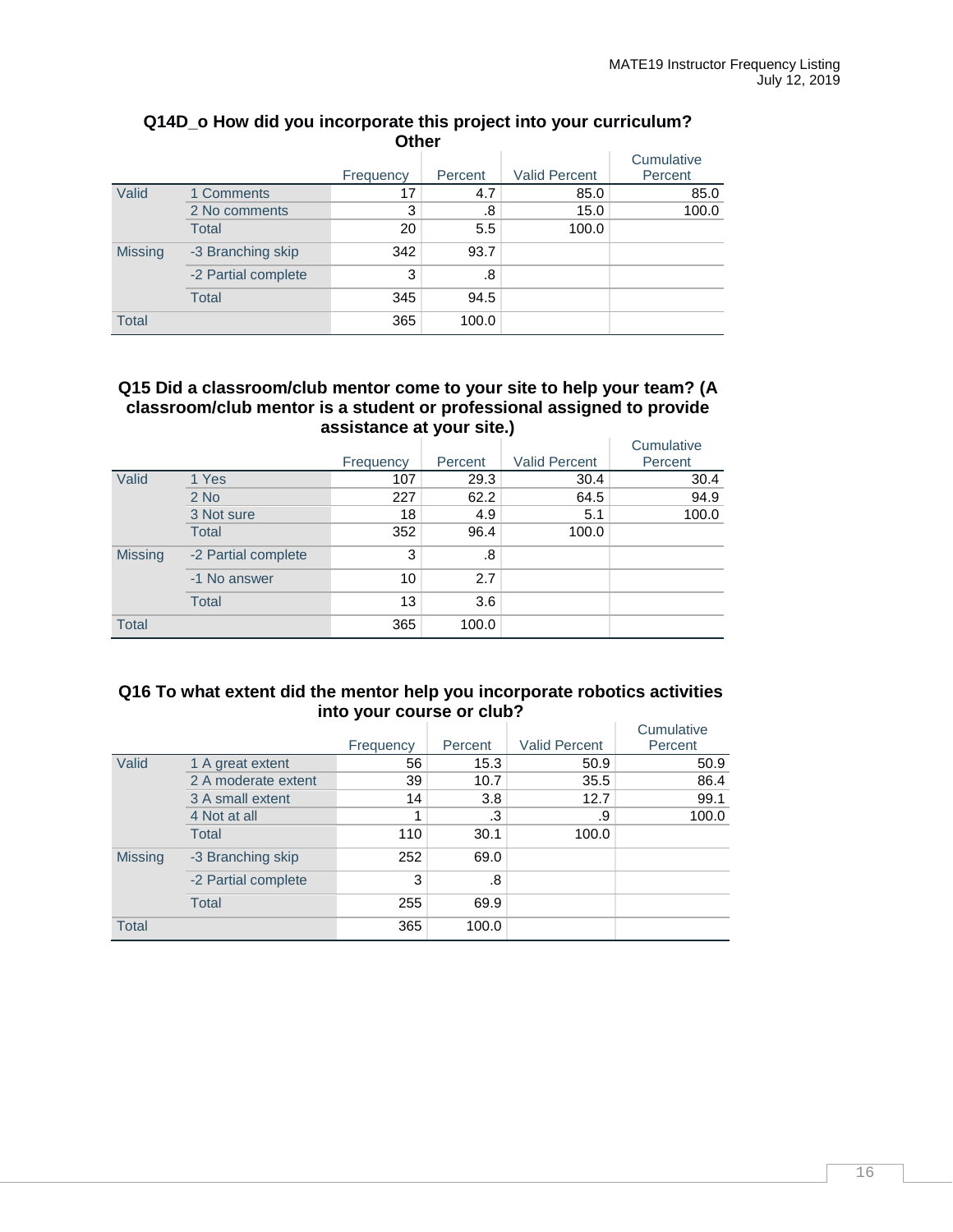| <b>Other</b>   |                     |           |         |                      |            |  |  |  |
|----------------|---------------------|-----------|---------|----------------------|------------|--|--|--|
|                |                     |           |         |                      | Cumulative |  |  |  |
|                |                     | Frequency | Percent | <b>Valid Percent</b> | Percent    |  |  |  |
| Valid          | 1 Comments          | 17        | 4.7     | 85.0                 | 85.0       |  |  |  |
|                | 2 No comments       | 3         | .8      | 15.0                 | 100.0      |  |  |  |
|                | Total               | 20        | 5.5     | 100.0                |            |  |  |  |
| <b>Missing</b> | -3 Branching skip   | 342       | 93.7    |                      |            |  |  |  |
|                | -2 Partial complete | 3         | .8      |                      |            |  |  |  |
|                | Total               | 345       | 94.5    |                      |            |  |  |  |
| <b>Total</b>   |                     | 365       | 100.0   |                      |            |  |  |  |

# **Q14D\_o How did you incorporate this project into your curriculum?**

## **Q15 Did a classroom/club mentor come to your site to help your team? (A classroom/club mentor is a student or professional assigned to provide assistance at your site.)**

|                |                     |           |         |                      | Cumulative |
|----------------|---------------------|-----------|---------|----------------------|------------|
|                |                     | Frequency | Percent | <b>Valid Percent</b> | Percent    |
| Valid          | 1 Yes               | 107       | 29.3    | 30.4                 | 30.4       |
|                | $2$ No              | 227       | 62.2    | 64.5                 | 94.9       |
|                | 3 Not sure          | 18        | 4.9     | 5.1                  | 100.0      |
|                | <b>Total</b>        | 352       | 96.4    | 100.0                |            |
| <b>Missing</b> | -2 Partial complete | 3         | .8      |                      |            |
|                | -1 No answer        | 10        | 2.7     |                      |            |
|                | <b>Total</b>        | 13        | 3.6     |                      |            |
| <b>Total</b>   |                     | 365       | 100.0   |                      |            |

#### **Q16 To what extent did the mentor help you incorporate robotics activities into your course or club?**  $\sim$

|                |                     | Frequency | Percent | <b>Valid Percent</b> | Cumulative<br>Percent |
|----------------|---------------------|-----------|---------|----------------------|-----------------------|
| Valid          | 1 A great extent    | 56        | 15.3    | 50.9                 | 50.9                  |
|                | 2 A moderate extent | 39        | 10.7    | 35.5                 | 86.4                  |
|                | 3 A small extent    | 14        | 3.8     | 12.7                 | 99.1                  |
|                | 4 Not at all        |           | .3      | .9                   | 100.0                 |
|                | Total               | 110       | 30.1    | 100.0                |                       |
| <b>Missing</b> | -3 Branching skip   | 252       | 69.0    |                      |                       |
|                | -2 Partial complete | 3         | .8      |                      |                       |
|                | <b>Total</b>        | 255       | 69.9    |                      |                       |
| <b>Total</b>   |                     | 365       | 100.0   |                      |                       |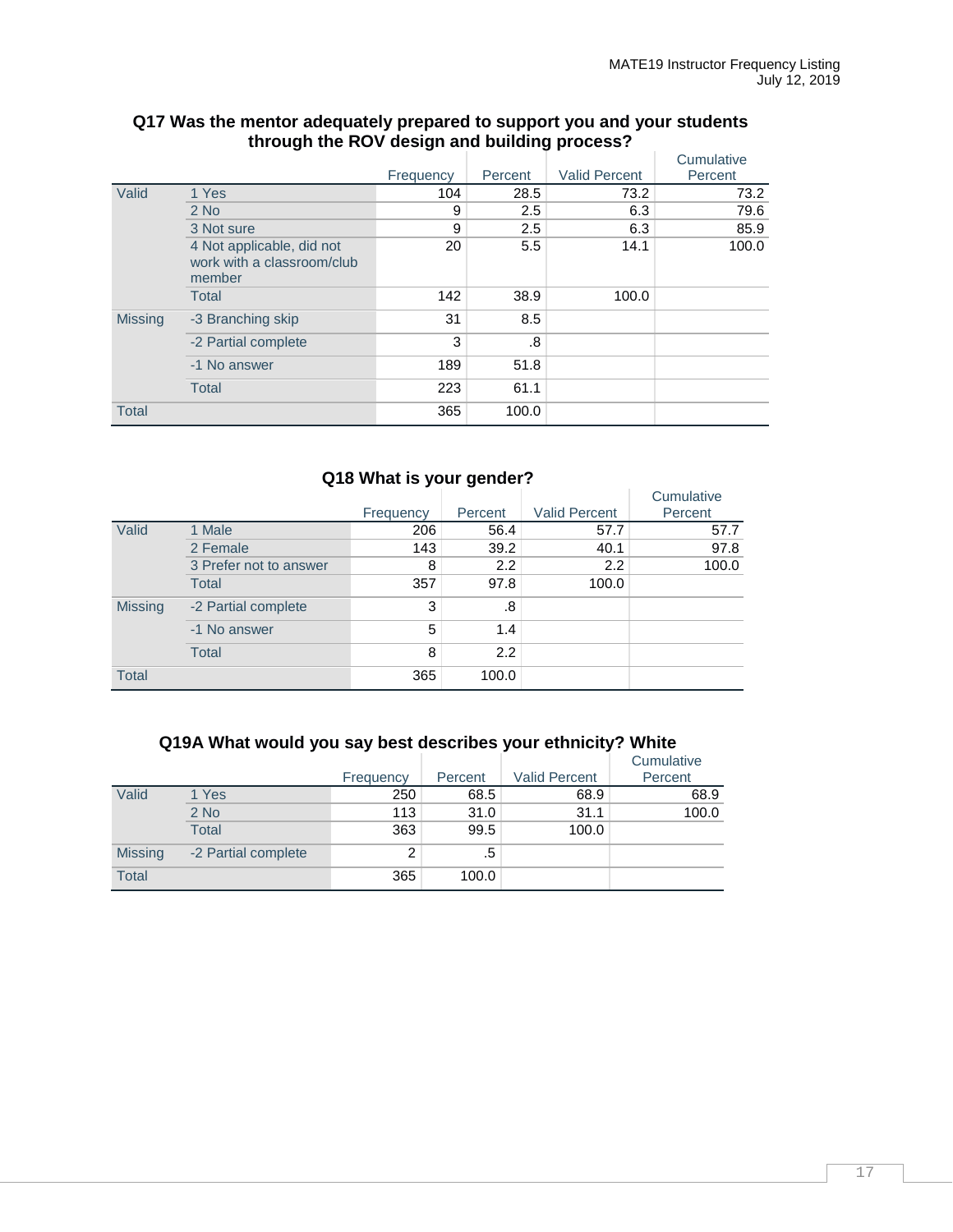|                |                                                                   |           |         |                      | Cumulative |
|----------------|-------------------------------------------------------------------|-----------|---------|----------------------|------------|
|                |                                                                   | Frequency | Percent | <b>Valid Percent</b> | Percent    |
| Valid          | 1 Yes                                                             | 104       | 28.5    | 73.2                 | 73.2       |
|                | $2$ No                                                            | 9         | 2.5     | 6.3                  | 79.6       |
|                | 3 Not sure                                                        | 9         | 2.5     | 6.3                  | 85.9       |
|                | 4 Not applicable, did not<br>work with a classroom/club<br>member | 20        | 5.5     | 14.1                 | 100.0      |
|                | <b>Total</b>                                                      | 142       | 38.9    | 100.0                |            |
| <b>Missing</b> | -3 Branching skip                                                 | 31        | 8.5     |                      |            |
|                | -2 Partial complete                                               | 3         | .8      |                      |            |
|                | -1 No answer                                                      | 189       | 51.8    |                      |            |
|                | <b>Total</b>                                                      | 223       | 61.1    |                      |            |
| <b>Total</b>   |                                                                   | 365       | 100.0   |                      |            |

## **Q17 Was the mentor adequately prepared to support you and your students through the ROV design and building process?**

## **Q18 What is your gender?**

|                |                        | Frequency | Percent | <b>Valid Percent</b> | Cumulative<br>Percent |
|----------------|------------------------|-----------|---------|----------------------|-----------------------|
| Valid          | 1 Male                 | 206       | 56.4    | 57.7                 | 57.7                  |
|                | 2 Female               | 143       | 39.2    | 40.1                 | 97.8                  |
|                | 3 Prefer not to answer | 8         | 2.2     | 2.2                  | 100.0                 |
|                | <b>Total</b>           | 357       | 97.8    | 100.0                |                       |
| <b>Missing</b> | -2 Partial complete    | 3         | .8      |                      |                       |
|                | -1 No answer           | 5         | 1.4     |                      |                       |
|                | <b>Total</b>           | 8         | 2.2     |                      |                       |
| <b>Total</b>   |                        | 365       | 100.0   |                      |                       |

## **Q19A What would you say best describes your ethnicity? White**

|                |                     | Frequency | Percent | <b>Valid Percent</b> | Cumulative<br>Percent |
|----------------|---------------------|-----------|---------|----------------------|-----------------------|
| Valid          | 1 Yes               | 250       | 68.5    | 68.9                 | 68.9                  |
|                | 2 No                | 113       | 31.0    | 31.1                 | 100.0                 |
|                | <b>Total</b>        | 363       | 99.5    | 100.0                |                       |
| <b>Missing</b> | -2 Partial complete | 2         | .5      |                      |                       |
| <b>Total</b>   |                     | 365       | 100.0   |                      |                       |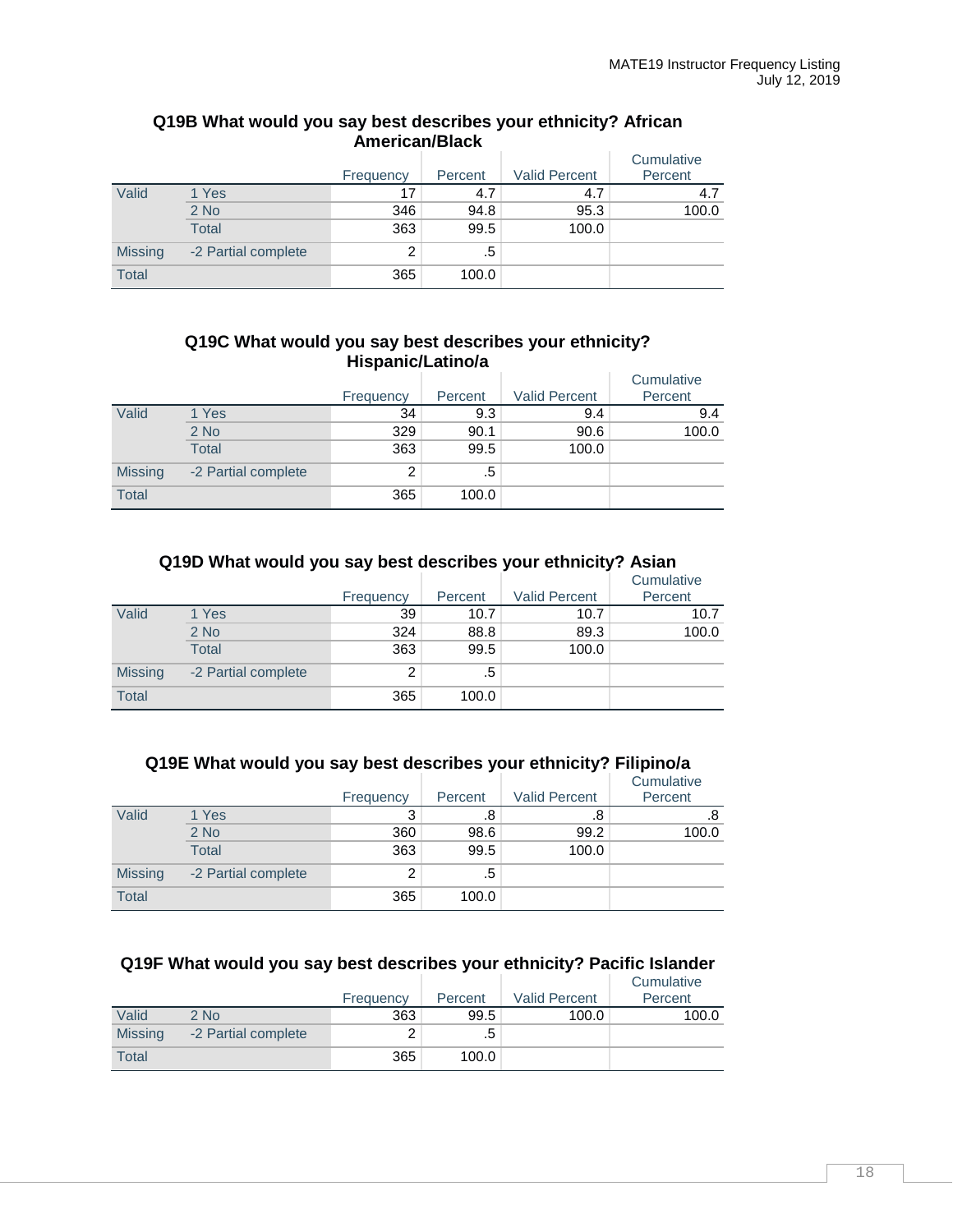|                                         | Alliti Itali/ Diatr |           |         |                      |                       |  |  |  |
|-----------------------------------------|---------------------|-----------|---------|----------------------|-----------------------|--|--|--|
|                                         |                     | Frequency | Percent | <b>Valid Percent</b> | Cumulative<br>Percent |  |  |  |
| Valid<br><b>Missing</b><br><b>Total</b> | 1 Yes               | 17        | 4.7     | 4.7                  | 4.7                   |  |  |  |
|                                         | $2$ No              | 346       | 94.8    | 95.3                 | 100.0                 |  |  |  |
|                                         | <b>Total</b>        | 363       | 99.5    | 100.0                |                       |  |  |  |
|                                         | -2 Partial complete | 2         | .5      |                      |                       |  |  |  |
|                                         |                     | 365       | 100.0   |                      |                       |  |  |  |

## **Q19B What would you say best describes your ethnicity? African American/Black**

## **Q19C What would you say best describes your ethnicity? Hispanic/Latino/a**

|                |                     | Frequency | Percent | <b>Valid Percent</b> | Cumulative<br>Percent |
|----------------|---------------------|-----------|---------|----------------------|-----------------------|
| Valid          | 1 Yes               | 34        | 9.3     | 9.4                  | 9.4                   |
|                | 2 No                | 329       | 90.1    | 90.6                 | 100.0                 |
|                | <b>Total</b>        | 363       | 99.5    | 100.0                |                       |
| <b>Missing</b> | -2 Partial complete | 2         | .5      |                      |                       |
| <b>Total</b>   |                     | 365       | 100.0   |                      |                       |

## **Q19D What would you say best describes your ethnicity? Asian**

|                |                     |           |         |                      | Cumulative |
|----------------|---------------------|-----------|---------|----------------------|------------|
|                |                     | Frequency | Percent | <b>Valid Percent</b> | Percent    |
| Valid          | 1 Yes               | 39        | 10.7    | 10.7                 | 10.7       |
|                | $2$ No              | 324       | 88.8    | 89.3                 | 100.0      |
|                | Total               | 363       | 99.5    | 100.0                |            |
| <b>Missing</b> | -2 Partial complete | 2         | .5      |                      |            |
| <b>Total</b>   |                     | 365       | 100.0   |                      |            |

## **Q19E What would you say best describes your ethnicity? Filipino/a**

|                |                     | Frequency | Percent | <b>Valid Percent</b> | Cumulative<br>Percent |
|----------------|---------------------|-----------|---------|----------------------|-----------------------|
| Valid          | 1 Yes               | 3         | .8      | .8                   | .8                    |
|                | $2$ No              | 360       | 98.6    | 99.2                 | 100.0                 |
|                | Total               | 363       | 99.5    | 100.0                |                       |
| <b>Missing</b> | -2 Partial complete | 2         | .5      |                      |                       |
| <b>Total</b>   |                     | 365       | 100.0   |                      |                       |

## **Q19F What would you say best describes your ethnicity? Pacific Islander**

|                |                     | Frequency | Percent | <b>Valid Percent</b> | Cumulative<br>Percent |
|----------------|---------------------|-----------|---------|----------------------|-----------------------|
| Valid          | $2$ No              | 363       | 99.5    | 100.0                | 100.0                 |
| <b>Missing</b> | -2 Partial complete | ົ         | .5      |                      |                       |
| Total          |                     | 365       | 100.0   |                      |                       |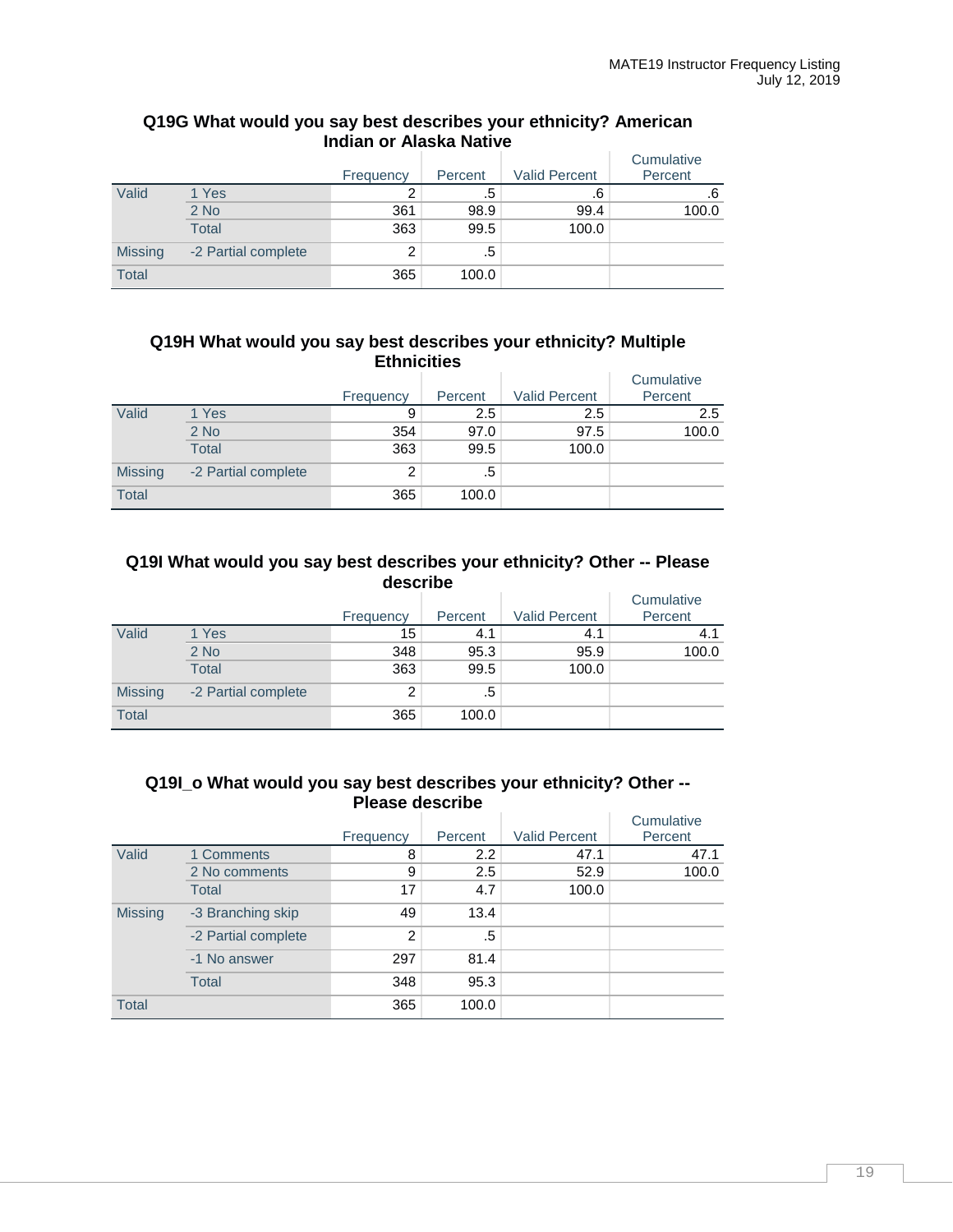## **Q19G What would you say best describes your ethnicity? American Indian or Alaska Native**

|                |                     | Frequency | Percent | <b>Valid Percent</b> | Cumulative<br>Percent |
|----------------|---------------------|-----------|---------|----------------------|-----------------------|
| Valid          | 1 Yes               |           | .5      | .6                   | .6                    |
|                | $2$ No              | 361       | 98.9    | 99.4                 | 100.0                 |
|                | <b>Total</b>        | 363       | 99.5    | 100.0                |                       |
| <b>Missing</b> | -2 Partial complete | っ         | .5      |                      |                       |
| <b>Total</b>   |                     | 365       | 100.0   |                      |                       |

## **Q19H What would you say best describes your ethnicity? Multiple Ethnicities**

|                |                     |           |         |                      | Cumulative |
|----------------|---------------------|-----------|---------|----------------------|------------|
|                |                     | Frequency | Percent | <b>Valid Percent</b> | Percent    |
| Valid          | 1 Yes               | 9         | $2.5\,$ | 2.5                  | 2.5        |
|                | $2$ No              | 354       | 97.0    | 97.5                 | 100.0      |
|                | <b>Total</b>        | 363       | 99.5    | 100.0                |            |
| <b>Missing</b> | -2 Partial complete | 2         | .5      |                      |            |
| <b>Total</b>   |                     | 365       | 100.0   |                      |            |

## **Q19I What would you say best describes your ethnicity? Other -- Please describe**

|                |                     | Frequency | Percent | <b>Valid Percent</b> | Cumulative<br>Percent |
|----------------|---------------------|-----------|---------|----------------------|-----------------------|
| Valid          | 1 Yes               | 15        | 4.1     | 4.1                  | 4.1                   |
|                | $2$ No              | 348       | 95.3    | 95.9                 | 100.0                 |
|                | <b>Total</b>        | 363       | 99.5    | 100.0                |                       |
| <b>Missing</b> | -2 Partial complete | 2         | .5      |                      |                       |
| <b>Total</b>   |                     | 365       | 100.0   |                      |                       |

### **Q19I\_o What would you say best describes your ethnicity? Other -- Please describe**

|                |                     | Frequency | Percent | <b>Valid Percent</b> | Cumulative<br>Percent |
|----------------|---------------------|-----------|---------|----------------------|-----------------------|
| Valid          | 1 Comments          | 8         | 2.2     | 47.1                 | 47.1                  |
|                | 2 No comments       | 9         | 2.5     | 52.9                 | 100.0                 |
|                | Total               | 17        | 4.7     | 100.0                |                       |
| <b>Missing</b> | -3 Branching skip   | 49        | 13.4    |                      |                       |
|                | -2 Partial complete | 2         | .5      |                      |                       |
|                | -1 No answer        | 297       | 81.4    |                      |                       |
|                | Total               | 348       | 95.3    |                      |                       |
| <b>Total</b>   |                     | 365       | 100.0   |                      |                       |